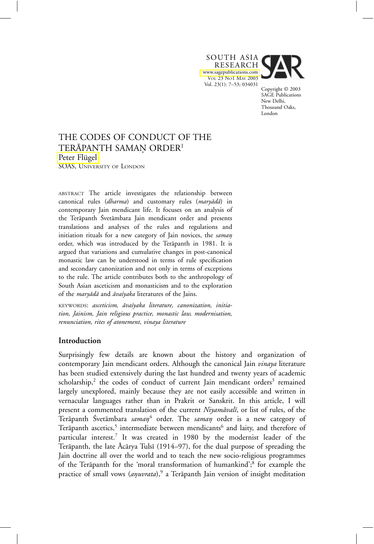SOUTH ASIA RESEARCH <www.sagepublications.com> VOL 23 NO1 MAY 2003 Vol. 23(1): 7–53; 034031



Copyright © 2003 SAGE Publications New Delhi, Thousand Oaks, London

# THE CODES OF CONDUCT OF THE TERĀPANTH SAMAN ORDER<sup>1</sup> Peter Flügel SOAS, UNIVERSITY OF LONDON

ABSTRACT The article investigates the relationship between canonical rules (*dharma*) and customary rules (*maryādā*) in contemporary Jain mendicant life. It focuses on an analysis of the Terāpanth Śvetāmbara Jain mendicant order and presents translations and analyses of the rules and regulations and initiation rituals for a new category of Jain novices, the *saman* order, which was introduced by the Terāpanth in 1981. It is argued that variations and cumulative changes in post-canonical monastic law can be understood in terms of rule specification and secondary canonization and not only in terms of exceptions to the rule. The article contributes both to the anthropology of South Asian asceticism and monasticism and to the exploration of the *maryādā* and *āvaśyaka* literatures of the Jains.

KEYWORDS: asceticism, āvaśyaka literature, canonization, initia*tion, Jainism, Jain religious practice, monastic law, modernisation, renunciation, rites of atonement, vinaya literature*

# **Introduction**

Surprisingly few details are known about the history and organization of contemporary Jain mendicant orders. Although the canonical Jain *vinaya* literature has been studied extensively during the last hundred and twenty years of academic scholarship,<sup>2</sup> the codes of conduct of current Jain mendicant orders<sup>3</sup> remained largely unexplored, mainly because they are not easily accessible and written in vernacular languages rather than in Prakrit or Sanskrit. In this article, I will present a commented translation of the current *Niyamāvalī*, or list of rules, of the Terāpanth Śvetāmbara *saman*<sup>4</sup> order. The *saman* order is a new category of Terāpanth ascetics,<sup>5</sup> intermediate between mendicants<sup>6</sup> and laity, and therefore of particular interest.<sup>7</sup> It was created in 1980 by the modernist leader of the Terāpanth, the late Ācārya Tulsī (1914–97), for the dual purpose of spreading the Jain doctrine all over the world and to teach the new socio-religious programmes of the Terāpanth for the 'moral transformation of humankind';<sup>8</sup> for example the practice of small vows (*anuvrata*),<sup>9</sup> a Terāpanth Jain version of insight meditation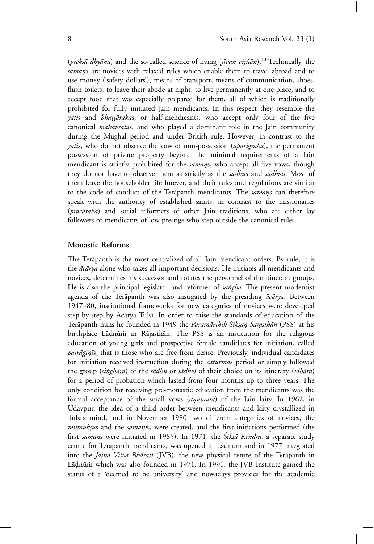(*prekṣā dhyāna*) and the so-called science of living (*jīvan vijñān*).<sup>10</sup> Technically, the samans are novices with relaxed rules which enable them to travel abroad and to use money ('safety dollars'), means of transport, means of communication, shoes, flush toilets, to leave their abode at night, to live permanently at one place, and to accept food that was especially prepared for them, all of which is traditionally prohibited for fully initiated Jain mendicants. In this respect they resemble the *yatis* and *bhattārakas*, or half-mendicants, who accept only four of the five canonical *mah¯avrata*s, and who played a dominant role in the Jain community during the Mughal period and under British rule. However, in contrast to the *yati*s, who do not observe the vow of non-possession (*aparigraha*), the permanent possession of private property beyond the minimal requirements of a Jain mendicant is strictly prohibited for the *samans*, who accept all five vows, though they do not have to observe them as strictly as the *sādhus* and *sādhvīs*. Most of them leave the householder life forever, and their rules and regulations are similar to the code of conduct of the Terapanth mendicants. The *samans* can therefore speak with the authority of established saints, in contrast to the missionaries (*pracāraka*) and social reformers of other Jain traditions, who are either lay followers or mendicants of low prestige who step outside the canonical rules.

# **Monastic Reforms**

The Terāpanth is the most centralized of all Jain mendicant orders. By rule, it is the  $\bar{a}c\bar{a}rya$  alone who takes all important decisions. He initiates all mendicants and novices, determines his successor and rotates the personnel of the itinerant groups. He is also the principal legislator and reformer of *sangha*. The present modernist agenda of the Terapanth was also instigated by the presiding  $\vec{a}c\vec{a}rya$ . Between 1947–80, institutional frameworks for new categories of novices were developed step-by-step by Ācārya Tulsī. In order to raise the standards of education of the Ter¯apanth nuns he founded in 1949 the *Param¯arthik Sik ´* º*san Sa* º *msth¯* º *an* (PSS) at his birthplace Lādnūm in Rājasthān. The PSS is an institution for the religious education of young girls and prospective female candidates for initiation, called *vairāgiņīs*, that is those who are free from desire. Previously, individual candidates for initiation received instruction during the *cāturmās* period or simply followed the group (*singhāra*) of the *sādhu* or *sādhvī* of their choice on its itinerary (*vihāra*) for a period of probation which lasted from four months up to three years. The only condition for receiving pre-monastic education from the mendicants was the formal acceptance of the small vows (*anuvrata*) of the Jain laity. In 1962, in Udaypur, the idea of a third order between mendicants and laity crystallized in Tulsi's mind, and in November 1980 two different categories of novices, the *mumuksus* and the *samanīs*, were created, and the first initiations performed (the first *saman*s were initiated in 1985). In 1971, the *Śiksā Kendra*, a separate study centre for Terāpanth mendicants, was opened in Lāḍnūm and in 1977 integrated into the *Jaina Višva Bhāratī* (JVB), the new physical centre of the Terāpanth in Lādnūm which was also founded in 1971. In 1991, the JVB Institute gained the status of a 'deemed to be university' and nowadays provides for the academic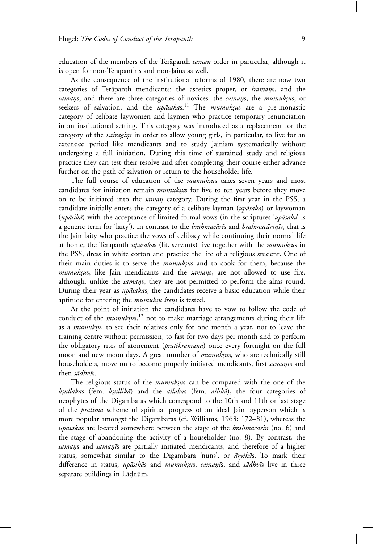education of the members of the Terapanth *saman* order in particular, although it is open for non-Terāpanthīs and non-Jains as well.

As the consequence of the institutional reforms of 1980, there are now two categories of Terāpanth mendicants: the ascetics proper, or *śramans*, and the *samans*, and there are three categories of novices: the *samans*, the *mumuksus*, or seekers of salvation, and the *upāsaka*s.<sup>11</sup> The *mumuksus* are a pre-monastic category of celibate laywomen and laymen who practice temporary renunciation in an institutional setting. This category was introduced as a replacement for the category of the *vairāginī* in order to allow young girls, in particular, to live for an extended period like mendicants and to study Jainism systematically without undergoing a full initiation. During this time of sustained study and religious practice they can test their resolve and after completing their course either advance further on the path of salvation or return to the householder life.

The full course of education of the *mumuksus* takes seven years and most candidates for initiation remain *mumuksus* for five to ten years before they move on to be initiated into the *saman*º category. During the first year in the PSS, a candidate initially enters the category of a celibate layman (*upāsaka*) or laywoman (*upāsikā*) with the acceptance of limited formal vows (in the scriptures 'upāsaka' is a generic term for 'laity'). In contrast to the *brahmacārīs* and *brahmacārinīs*, that is the Jain laity who practice the vows of celibacy while continuing their normal life at home, the Terāpanth *upāsaka*s (lit. servants) live together with the *mumuksus* in the PSS, dress in white cotton and practice the life of a religious student. One of their main duties is to serve the *mumuksus* and to cook for them, because the *mumuksus*, like Jain mendicants and the *samans*, are not allowed to use fire, although, unlike the *samans*, they are not permitted to perform the alms round. During their year as *upāsaka*s, the candidates receive a basic education while their aptitude for entering the *mumuksu śrenī* is tested.

At the point of initiation the candidates have to vow to follow the code of conduct of the *mumuk*sus,<sup>12</sup> not to make marriage arrangements during their life as a *mumuksu*, to see their relatives only for one month a year, not to leave the training centre without permission, to fast for two days per month and to perform the obligatory rites of atonement (*pratikramana*) once every fortnight on the full moon and new moon days. A great number of *mumuksus*, who are technically still householders, move on to become properly initiated mendicants, first *samanis* and then *sādhvīs*.

The religious status of the *mumuksus* can be compared with the one of the *k*º*sullaka*s (fem. *k*º*sullik¯a*) and the *ailaka*s (fem. *ailik¯a*), the four categories of neophytes of the Digambaras which correspond to the 10th and 11th or last stage of the *pratima* scheme of spiritual progress of an ideal Jain layperson which is more popular amongst the Digambaras (cf. Williams, 1963: 172–81), whereas the *upāsakas* are located somewhere between the stage of the *brahmacārin* (no. 6) and the stage of abandoning the activity of a householder (no. 8). By contrast, the *samans* and *samanīs* are partially initiated mendicants, and therefore of a higher status, somewhat similar to the Digambara 'nuns', or *āryikās*. To mark their difference in status, *upāsikā*s and *mumukṣus*, *samaṇīs*, and *sādhvīs* live in three separate buildings in Lādnūm.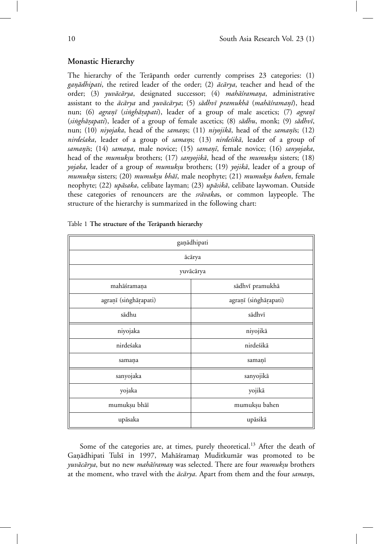# **Monastic Hierarchy**

The hierarchy of the Terapanth order currently comprises  $23$  categories:  $(1)$ ganādhipati, the retired leader of the order; (2) *ācārya*, teacher and head of the order; (3) *yuvācārya*, designated successor; (4) *mahāśramana*, administrative assistant to the  $\bar{a}c\bar{a}rya$  and *yuvācārya*; (5) *sādhvī pramukhā* (*mahāśramanī*), head nun; (6) *agranī* (*singhārapati*), leader of a group of male ascetics; (7) *agranī* (*singhārapati*), leader of a group of female ascetics; (8) *sādhu*, monk; (9) *sādhvī*, nun; (10) *niyojaka*, head of the *samans*; (11) *niyojikā*, head of the *samanīs*; (12) *nirde'saka*, leader of a group of *samans*; (13) *nirde'sikā*, leader of a group of *saman¯*º*ı*s; (14) *samana*º , male novice; (15) *saman¯*º*ı*, female novice; (16) *sanyojaka*, head of the *mumuksu* brothers; (17) *sanyojikā*, head of the *mumuksu* sisters; (18) *yojaka*, leader of a group of *mumuksu* brothers; (19) *yojikā*, leader of a group of *mumuk*º*su* sisters; (20) *mumuk*º*su bh¯a¯ı*, male neophyte; (21) *mumuk*º*su bahen*, female neophyte; (22) *upāsaka*, celibate layman; (23) *upāsikā*, celibate laywoman. Outside these categories of renouncers are the *srāvakas*, or common laypeople. The structure of the hierarchy is summarized in the following chart:

| gaņādhipati           |                       |
|-----------------------|-----------------------|
| ācārya                |                       |
| yuvācārya             |                       |
| mahāśramaņa           | sādhvī pramukhā       |
| agraņī (singhārapati) | agraņī (singhārapati) |
| sādhu                 | sādhvī                |
| niyojaka              | niyojikā              |
| nirdeśaka             | nirdeśikā             |
| samana                | samanī                |
| sanyojaka             | sanyojikā             |
| yojaka                | yojikā                |
| mumuksu bhāī          | mumuksu bahen         |
| upāsaka               | upāsikā               |

Table 1 The structure of the Terāpanth hierarchy

Some of the categories are, at times, purely theoretical.<sup>13</sup> After the death of Ganādhipati Tulsī in 1997, Mahāśraman Muditkumār was promoted to be *yuvācārya*, but no new *mahāśraman* was selected. There are four *mumuksu* brothers at the moment, who travel with the  $\bar{a}c\bar{a}rya$ . Apart from them and the four *samans*,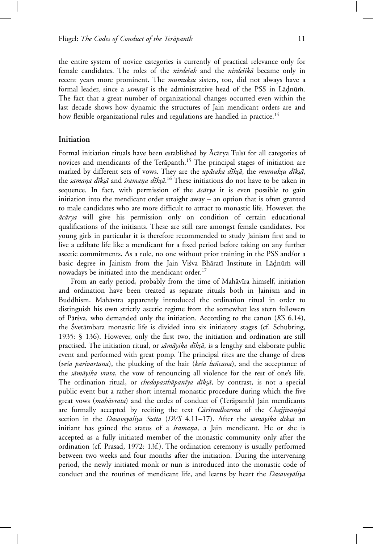the entire system of novice categories is currently of practical relevance only for female candidates. The roles of the *nirde'sak* and the *nirde'sika* became only in recent years more prominent. The *mumukyu* sisters, too, did not always have a formal leader, since a *samanī* is the administrative head of the PSS in Ladnūm. The fact that a great number of organizational changes occurred even within the last decade shows how dynamic the structures of Jain mendicant orders are and how flexible organizational rules and regulations are handled in practice.<sup>14</sup>

### **Initiation**

Formal initiation rituals have been established by Ācārya Tulsī for all categories of novices and mendicants of the Ter $\bar{a}$ panth.<sup>15</sup> The principal stages of initiation are marked by different sets of vows. They are the *upāsaka dīkṣā*, the mumukṣu dīkṣā, the *samana dīkṣā* and *śramana dīkṣā*.<sup>16</sup> These initiations do not have to be taken in sequence. In fact, with permission of the  $\vec{ac} \vec{ar}$  it is even possible to gain initiation into the mendicant order straight away – an option that is often granted to male candidates who are more difficult to attract to monastic life. However, the  $\bar{a}c\bar{a}rya$  will give his permission only on condition of certain educational qualifications of the initiants. These are still rare amongst female candidates. For young girls in particular it is therefore recommended to study Jainism first and to live a celibate life like a mendicant for a fixed period before taking on any further ascetic commitments. As a rule, no one without prior training in the PSS and/or a basic degree in Jainism from the Jain Viśva Bhāratī Institute in Lādnūm will nowadays be initiated into the mendicant order.<sup>17</sup>

From an early period, probably from the time of Mahāvīra himself, initiation and ordination have been treated as separate rituals both in Jainism and in Buddhism. Mahāvīra apparently introduced the ordination ritual in order to distinguish his own strictly ascetic regime from the somewhat less stern followers of P¯ar´sva, who demanded only the initiation. According to the canon (*KS* 6.14), the Svetāmbara monastic life is divided into six initiatory stages (cf. Schubring, 1935: § 136). However, only the first two, the initiation and ordination are still practised. The initiation ritual, or *sāmāyika dīkṣā*, is a lengthy and elaborate public event and performed with great pomp. The principal rites are the change of dress (*ve'sa parivartana*), the plucking of the hair (*ke'sa luñcana*), and the acceptance of the *s¯am¯ayika vrata*, the vow of renouncing all violence for the rest of one's life. The ordination ritual, or *chedopasthāpanīya dīkṣā*, by contrast, is not a special public event but a rather short internal monastic procedure during which the five great vows (*mahāvrata*) and the codes of conduct of (Terāpanth) Jain mendicants are formally accepted by reciting the text *Cāritradharma* of the *Chajjīvaniyā* section in the *Dasaveyāliya Sutta* (DVS 4.11–17). After the *sāmāyika dīksā* an initiant has gained the status of a *'sramana*, a Jain mendicant. He or she is accepted as a fully initiated member of the monastic community only after the ordination (cf. Prasad, 1972: 13f.). The ordination ceremony is usually performed between two weeks and four months after the initiation. During the intervening period, the newly initiated monk or nun is introduced into the monastic code of conduct and the routines of mendicant life, and learns by heart the *Dasaveyaliya*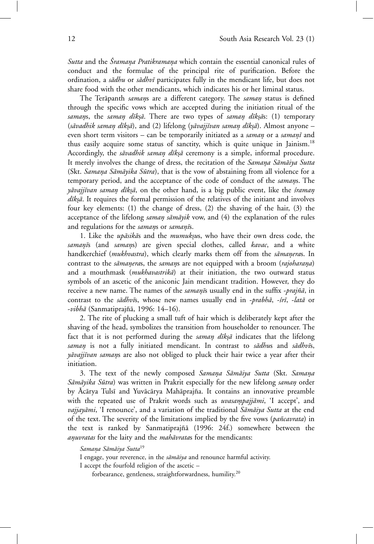*Sutta* and the *Sramana Pratikramana* which contain the essential canonical rules of conduct and the formulae of the principal rite of purification. Before the ordination, a *sādhu* or *sādhvī* participates fully in the mendicant life, but does not share food with the other mendicants, which indicates his or her liminal status.

The Terapanth *samans* are a different category. The *saman* status is defined through the specific vows which are accepted during the initiation ritual of the *samans*, the *saman dīkṣā*. There are two types of *saman dīkṣās*: (1) temporary (sāvadhik saman dīkṣā), and (2) lifelong (yāvajjīvan saman dīkṣā). Almost anyone – even short term visitors – can be temporarily initiated as a *saman* or a *samanī* and thus easily acquire some status of sanctity, which is quite unique in Jainism.<sup>18</sup> Accordingly, the *sāvadhik saman dīkṣā* ceremony is a simple, informal procedure. It merely involves the change of dress, the recitation of the *Samana Sāmāiya Sutta* (Skt. *Samana Sāmāyika Sūtra*), that is the vow of abstaining from all violence for a temporary period, and the acceptance of the code of conduct of the *samans*. The *yāvajjīvan saman dīkṣā*, on the other hand, is a big public event, like the *śraman dīkṣā*. It requires the formal permission of the relatives of the initiant and involves four key elements: (1) the change of dress, (2) the shaving of the hair, (3) the acceptance of the lifelong *saman sāmāyik* vow, and (4) the explanation of the rules and regulations for the *samans* or *samanīs*.

1. Like the *upāsikās* and the *mumukṣus*, who have their own dress code, the *saman¯*º*ı*s (and *saman*ºs) are given special clothes, called *kavac*, and a white handkerchief (mukhvastra), which clearly marks them off from the sāmaņeras. In contrast to the *sāmaneras*, the *samans* are not equipped with a broom (*rajoharana*) and a mouthmask (*mukhavastrika*) at their initiation, the two outward status symbols of an ascetic of the aniconic Jain mendicant tradition. However, they do receive a new name. The names of the *samani*s usually end in the suffix -prajña, in contrast to the *sādhvīs*, whose new names usually end in -*prabhā*, -*śrī*, -latā or -*vibhā* (Sanmatiprajñā, 1996: 14–16).

2. The rite of plucking a small tuft of hair which is deliberately kept after the shaving of the head, symbolizes the transition from householder to renouncer. The fact that it is not performed during the *saman dīkṣā* indicates that the lifelong *saman* is not a fully initiated mendicant. In contrast to *sadhus* and *sadhvis*, *yāvajjīvan samans* are also not obliged to pluck their hair twice a year after their initiation.

3. The text of the newly composed Samana Sāmāiya Sutta (Skt. Samana *Sāmāyika Sūtra*) was written in Prakrit especially for the new lifelong *saman* order by Ācārya Tulsī and Yuvācārya Mahāprajña. It contains an innovative preamble with the repeated use of Prakrit words such as *uvasampajjāmi*, 'I accept', and *vajjayāmi*, 'I renounce', and a variation of the traditional *Sāmāiya Sutta* at the end of the text. The severity of the limitations implied by the five vows (*pa˜ncavrata*) in the text is ranked by Sanmatiprajñā (1996: 24f.) somewhere between the *anuvratas* for the laity and the *mahāvrata*s for the mendicants:

#### *Samana S¯* º *am¯aiya Sutta*<sup>19</sup>

I engage, your reverence, in the *sāmāiya* and renounce harmful activity. I accept the fourfold religion of the ascetic –

forbearance, gentleness, straightforwardness, humility.20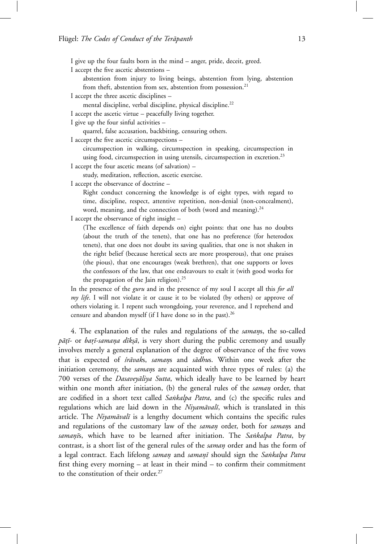I give up the four faults born in the mind – anger, pride, deceit, greed.

I accept the five ascetic abstentions –

abstention from injury to living beings, abstention from lying, abstention from theft, abstention from sex, abstention from possession.<sup>21</sup>

I accept the three ascetic disciplines –

mental discipline, verbal discipline, physical discipline.<sup>22</sup>

I accept the ascetic virtue – peacefully living together.

I give up the four sinful activities –

quarrel, false accusation, backbiting, censuring others.

I accept the five ascetic circumspections –

circumspection in walking, circumspection in speaking, circumspection in using food, circumspection in using utensils, circumspection in excretion.<sup>23</sup>

I accept the four ascetic means (of salvation) –

study, meditation, reflection, ascetic exercise.

I accept the observance of doctrine –

Right conduct concerning the knowledge is of eight types, with regard to time, discipline, respect, attentive repetition, non-denial (non-concealment), word, meaning, and the connection of both (word and meaning).<sup>24</sup>

I accept the observance of right insight -

(The excellence of faith depends on) eight points: that one has no doubts (about the truth of the tenets), that one has no preference (for heterodox tenets), that one does not doubt its saving qualities, that one is not shaken in the right belief (because heretical sects are more prosperous), that one praises (the pious), that one encourages (weak brethren), that one supports or loves the confessors of the law, that one endeavours to exalt it (with good works for the propagation of the Jain religion).<sup>25</sup>

In the presence of the *guru* and in the presence of my soul I accept all this *for all my life*. I will not violate it or cause it to be violated (by others) or approve of others violating it. I repent such wrongdoing, your reverence, and I reprehend and censure and abandon myself (if I have done so in the past).26

4. The explanation of the rules and regulations of the *samans*, the so-called *pātī*- or *barī*-samaņa dīksā, is very short during the public ceremony and usually involves merely a general explanation of the degree of observance of the five vows that is expected of *śrāvaks*, *samans* and *sādhus*. Within one week after the initiation ceremony, the *samans* are acquainted with three types of rules: (a) the 700 verses of the *Dasaveyāliya Sutta*, which ideally have to be learned by heart within one month after initiation, (b) the general rules of the *saman* order, that are codified in a short text called *Sankalpa Patra*, and (c) the specific rules and regulations which are laid down in the *Niyamāvalī*, which is translated in this article. The *Niyamāvalī* is a lengthy document which contains the specific rules and regulations of the customary law of the *saman* order, both for *saman*s and *saman¯*º*ı*s, which have to be learned after initiation. The *Sa˙nkalpa Patra*, by contrast, is a short list of the general rules of the *saman* order and has the form of a legal contract. Each lifelong *saman*º and *saman¯*º*ı* should sign the *Sa˙nkalpa Patra* first thing every morning – at least in their mind – to confirm their commitment to the constitution of their order.<sup>27</sup>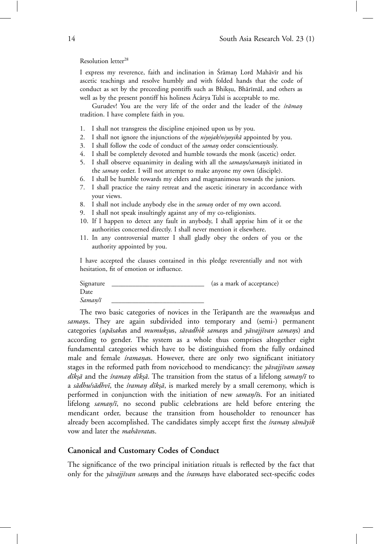Resolution letter<sup>28</sup>

I express my reverence, faith and inclination in Śrāman Lord Mahāvīr and his ascetic teachings and resolve humbly and with folded hands that the code of conduct as set by the preceeding pontiffs such as Bhikṣu, Bhārīmāl, and others as well as by the present pontiff his holiness Acarya Tulsī is acceptable to me.

Gurudev! You are the very life of the order and the leader of the *śrāman* tradition. I have complete faith in you.

- 1. I shall not transgress the discipline enjoined upon us by you.
- 2. I shall not ignore the injunctions of the *niyojak/niyoyikā* appointed by you.
- 3. I shall follow the code of conduct of the *saman* order conscientiously.
- 4. I shall be completely devoted and humble towards the monk (ascetic) order.
- 5. I shall observe equanimity in dealing with all the *samans/samanīs* initiated in the *saman* order. I will not attempt to make anyone my own (disciple).
- 6. I shall be humble towards my elders and magnanimous towards the juniors.
- 7. I shall practice the rainy retreat and the ascetic itinerary in accordance with your views.
- 8. I shall not include anybody else in the *saman* order of my own accord.
- 9. I shall not speak insultingly against any of my co-religionists.
- 10. If I happen to detect any fault in anybody, I shall apprise him of it or the authorities concerned directly. I shall never mention it elsewhere.
- 11. In any controversial matter I shall gladly obey the orders of you or the authority appointed by you.

I have accepted the clauses contained in this pledge reverentially and not with hesitation, fit of emotion or influence.

Signature \_\_\_\_\_\_\_\_\_\_\_\_\_\_\_\_\_\_\_\_\_\_\_\_\_\_\_\_\_\_\_\_ (as a mark of acceptance) Date  $Saman/\bar{i}$ 

The two basic categories of novices in the Terapanth are the *mumuksus* and samans. They are again subdivided into temporary and (semi-) permanent categories (upāsakas and mumuksus, sāvadhik samans and yāvajjīvan samans) and according to gender. The system as a whole thus comprises altogether eight fundamental categories which have to be distinguished from the fully ordained male and female *śramanas*. However, there are only two significant initiatory stages in the reformed path from novicehood to mendicancy: the *yāvajjīvan saman dīkṣā* and the *śraman dīkṣā*. The transition from the status of a lifelong *saman*/*ī* to a *sādhu/sādhvī*, the *śraman dīkṣā*, is marked merely by a small ceremony, which is performed in conjunction with the initiation of new *saman/is*. For an initiated lifelong *saman*/ $\bar{a}$ , no second public celebrations are held before entering the mendicant order, because the transition from householder to renouncer has already been accomplished. The candidates simply accept first the *śraman sāmāyik* vow and later the *mahāvrata*s.

# **Canonical and Customary Codes of Conduct**

The significance of the two principal initiation rituals is reflected by the fact that only for the *yavajjīvan samans* and the *śramans* have elaborated sect-specific codes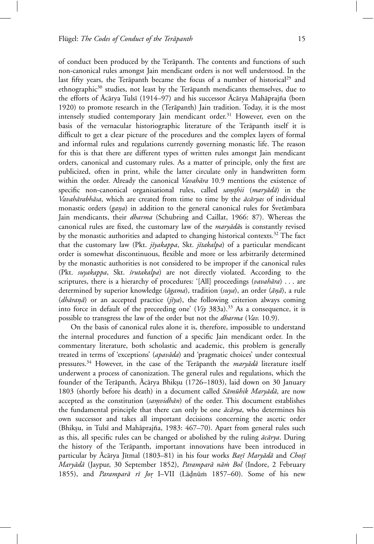of conduct been produced by the Terāpanth. The contents and functions of such non-canonical rules amongst Jain mendicant orders is not well understood. In the last fifty years, the Terāpanth became the focus of a number of historical<sup>29</sup> and ethnographic $30$  studies, not least by the Terapanth mendicants themselves, due to the efforts of  $\bar{A}$ cārya Tulsī (1914–97) and his successor  $\bar{A}$ cārya Mahāprajña (born 1920) to promote research in the (Terāpanth) Jain tradition. Today, it is the most intensely studied contemporary Jain mendicant order.<sup>31</sup> However, even on the basis of the vernacular historiographic literature of the Terāpanth itself it is difficult to get a clear picture of the procedures and the complex layers of formal and informal rules and regulations currently governing monastic life. The reason for this is that there are different types of written rules amongst Jain mendicant orders, canonical and customary rules. As a matter of principle, only the first are publicized, often in print, while the latter circulate only in handwritten form within the order. Already the canonical *Vavahāra* 10.9 mentions the existence of specific non-canonical organisational rules, called *samthii* (*maryādā*) in the *Vavahārabhāsa*, which are created from time to time by the *ācāryas* of individual monastic orders (*gana*) in addition to the general canonical rules for Svetambara Jain mendicants, their *dharma* (Schubring and Caillat, 1966: 87). Whereas the canonical rules are fixed, the customary law of the *maryadas* is constantly revised by the monastic authorities and adapted to changing historical contexts.<sup>32</sup> The fact that the customary law (Pkt. *jīyakappa*, Skt. *jītakalpa*) of a particular mendicant

order is somewhat discontinuous, flexible and more or less arbitrarily determined by the monastic authorities is not considered to be improper if the canonical rules (Pkt. *suyakappa*, Skt. *´srutakalpa*) are not directly violated. According to the scriptures, there is a hierarchy of procedures: '[All] proceedings (*vavahāra*) . . . are determined by superior knowledge ( $āgama$ ), tradition ( $suya$ ), an order ( $ānā$ ), a rule  $(dh\bar{a}ran\bar{a})$  or an accepted practice ( $j\bar{i}ya$ ), the following criterion always coming into force in default of the preceeding one' (*Viy* 383a).<sup>33</sup> As a consequence, it is possible to transgress the law of the order but not the *dharma* (*Vav*. 10.9).

On the basis of canonical rules alone it is, therefore, impossible to understand the internal procedures and function of a specific Jain mendicant order. In the commentary literature, both scholastic and academic, this problem is generally treated in terms of 'exceptions' (apavāda) and 'pragmatic choices' under contextual pressures.<sup>34</sup> However, in the case of the Terapanth the *maryada* literature itself underwent a process of canonization. The general rules and regulations, which the founder of the Terāpanth, Ācārya Bhikṣu (1726–1803), laid down on 30 January 1803 (shortly before his death) in a document called *Sāmūhik Maryādā*, are now accepted as the constitution (*samvidhān*) of the order. This document establishes the fundamental principle that there can only be one  $\bar{ac} \bar{a} r y a$ , who determines his own successor and takes all important decisions concerning the ascetic order (Bhikṣu, in Tulsī and Mahāprajña, 1983: 467–70). Apart from general rules such as this, all specific rules can be changed or abolished by the ruling  $\bar{a}c\bar{a}\gamma a$ . During the history of the Terāpanth, important innovations have been introduced in particular by Ācārya Jītmal (1803–81) in his four works *Barī Maryādā* and *Choțī Maryādā* (Jaypur, 30 September 1852), *Paramparā nām Bol* (Indore, 2 February 1855), and *Paramparā rī Jor* I–VII (Lādnūm 1857–60). Some of his new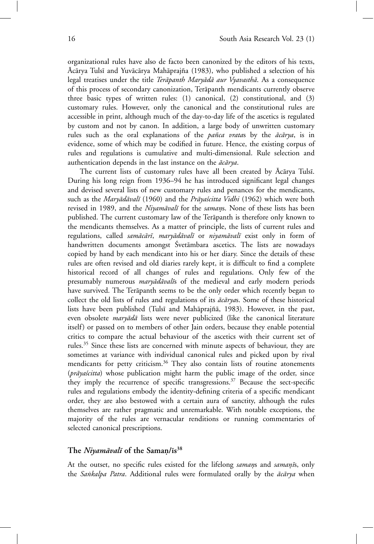organizational rules have also de facto been canonized by the editors of his texts, Ācārya Tulsī and Yuvācārya Mahāprajña (1983), who published a selection of his legal treatises under the title *Terāpanth Maryādā aur Vyavasthā*. As a consequence of this process of secondary canonization, Terāpanth mendicants currently observe three basic types of written rules: (1) canonical, (2) constitutional, and (3) customary rules. However, only the canonical and the constitutional rules are accessible in print, although much of the day-to-day life of the ascetics is regulated by custom and not by canon. In addition, a large body of unwritten customary rules such as the oral explanations of the *pañca vrata*s by the  $\bar{a}c\bar{a}rya$ , is in evidence, some of which may be codified in future. Hence, the existing corpus of rules and regulations is cumulative and multi-dimensional. Rule selection and authentication depends in the last instance on the  $\bar{a}c\bar{a}rya$ .

The current lists of customary rules have all been created by Ācārya Tulsī. During his long reign from 1936–94 he has introduced significant legal changes and devised several lists of new customary rules and penances for the mendicants, such as the *Maryādāvalī* (1960) and the *Prāyaścitta Vidhi* (1962) which were both revised in 1989, and the *Niyamāvalī* for the *samans*. None of these lists has been published. The current customary law of the Terāpanth is therefore only known to the mendicants themselves. As a matter of principle, the lists of current rules and regulations, called *samācārī*, *maryādāvalī* or *niyamāvalī* exist only in form of handwritten documents amongst Śvetāmbara ascetics. The lists are nowadays copied by hand by each mendicant into his or her diary. Since the details of these rules are often revised and old diaries rarely kept, it is difficult to find a complete historical record of all changes of rules and regulations. Only few of the presumably numerous *maryādāvalīs* of the medieval and early modern periods have survived. The Terāpanth seems to be the only order which recently began to collect the old lists of rules and regulations of its  $\bar{ac\pi}\gamma\alpha s$ . Some of these historical lists have been published (Tulsī and Mahāprajñā, 1983). However, in the past, even obsolete *maryādā* lists were never publicized (like the canonical literature itself) or passed on to members of other Jain orders, because they enable potential critics to compare the actual behaviour of the ascetics with their current set of rules.<sup>35</sup> Since these lists are concerned with minute aspects of behaviour, they are sometimes at variance with individual canonical rules and picked upon by rival mendicants for petty criticism.<sup>36</sup> They also contain lists of routine atonements  $(pr\bar{q}y\alpha' s\acute{c}t\acute{t}t\acute{a})$  whose publication might harm the public image of the order, since they imply the recurrence of specific transgressions.<sup>37</sup> Because the sect-specific rules and regulations embody the identity-defining criteria of a specific mendicant order, they are also bestowed with a certain aura of sanctity, although the rules themselves are rather pragmatic and unremarkable. With notable exceptions, the majority of the rules are vernacular renditions or running commentaries of selected canonical prescriptions.

## **The** *Niyamāvalī* **of the Saman/** $\overline{1}$ **s<sup>38</sup>**

At the outset, no specific rules existed for the lifelong *samans* and *samanis*, only the *Sankalpa Patra*. Additional rules were formulated orally by the  $\vec{ac} \vec{a} r y \vec{a}$  when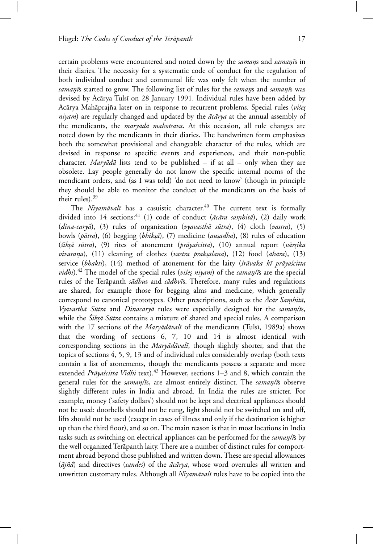certain problems were encountered and noted down by the *samans* and *samanīs* in their diaries. The necessity for a systematic code of conduct for the regulation of both individual conduct and communal life was only felt when the number of *samanīs* started to grow. The following list of rules for the *samans* and *samanīs* was devised by Ācārya Tulsī on 28 January 1991. Individual rules have been added by Acārya Mahāprajña later on in response to recurrent problems. Special rules (*višes niyam*) are regularly changed and updated by the  $\bar{a}c\bar{a}rya$  at the annual assembly of the mendicants, the *maryādā mahotsava*. At this occasion, all rule changes are noted down by the mendicants in their diaries. The handwritten form emphasizes both the somewhat provisional and changeable character of the rules, which are devised in response to specific events and experiences, and their non-public character. *Maryādā* lists tend to be published – if at all – only when they are obsolete. Lay people generally do not know the specific internal norms of the mendicant orders, and (as I was told) 'do not need to know' (though in principle they should be able to monitor the conduct of the mendicants on the basis of their rules).<sup>39</sup>

The *Niyamāvalī* has a casuistic character.<sup>40</sup> The current text is formally divided into 14 sections:<sup>41</sup> (1) code of conduct ( $\bar{a}c\bar{a}ra$  *samhita*), (2) daily work (*dina-caryā*), (3) rules of organization (*vyavasthā sūtra*), (4) cloth (*vastra*), (5) bowls (*pātra*), (6) begging (*bhikṣā*), (7) medicine (*auṣadha*), (8) rules of education (*´sik*º*s¯a s¯utra*), (9) rites of atonement (*pr¯aya´scitta*), (10) annual report (*v¯ar*º*sika vivarana*), (11) cleaning of clothes (*vastra prakṣālana*), (12) food (*āhāra*), (13) service (bhakti), (14) method of atonement for the laity (śrāvaka kī prāyaścitta *vidhi*).<sup>42</sup> The model of the special rules (*višes niyam*) of the *saman/īs* are the special rules of the Terāpanth *sādhus* and *sādhvīs*. Therefore, many rules and regulations are shared, for example those for begging alms and medicine, which generally correspond to canonical prototypes. Other prescriptions, such as the  $\bar{A}c\bar{a}r$  *Samhitā*, *Vyavasthā Sūtra* and *Dinacaryā* rules were especially designed for the *saman/īs*, while the *Siksa Sūtra* contains a mixture of shared and special rules. A comparison with the 17 sections of the *Maryādāvalī* of the mendicants (Tulsī, 1989a) shows that the wording of sections 6, 7, 10 and 14 is almost identical with corresponding sections in the *Maryādāvalī*, though slightly shorter, and that the topics of sections 4, 5, 9, 13 and of individual rules considerably overlap (both texts contain a list of atonements, though the mendicants possess a separate and more extended *Prāyaścitta Vidhi* text).<sup>43</sup> However, sections 1–3 and 8, which contain the general rules for the *saman/īs*, are almost entirely distinct. The *saman/īs* observe slightly different rules in India and abroad. In India the rules are stricter. For example, money ('safety dollars') should not be kept and electrical appliances should not be used: doorbells should not be rung, light should not be switched on and off, lifts should not be used (except in cases of illness and only if the destination is higher up than the third floor), and so on. The main reason is that in most locations in India tasks such as switching on electrical appliances can be performed for the *saman/is* by the well organized Terāpanth laity. There are a number of distinct rules for comportment abroad beyond those published and written down. These are special allowances ( $\bar{a}j\tilde{n}\bar{a}$ ) and directives (*sandes*) of the  $\bar{a}c\bar{a}rya$ , whose word overrules all written and unwritten customary rules. Although all *Niyamāvalī* rules have to be copied into the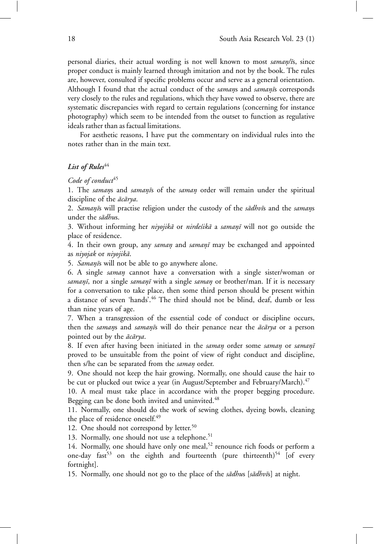personal diaries, their actual wording is not well known to most *saman/is*, since proper conduct is mainly learned through imitation and not by the book. The rules are, however, consulted if specific problems occur and serve as a general orientation. Although I found that the actual conduct of the *samans* and *samanis* corresponds very closely to the rules and regulations, which they have vowed to observe, there are systematic discrepancies with regard to certain regulations (concerning for instance photography) which seem to be intended from the outset to function as regulative ideals rather than as factual limitations.

For aesthetic reasons, I have put the commentary on individual rules into the notes rather than in the main text.

### List of Rules<sup>44</sup>

### Code of conduct<sup>45</sup>

1. The *samans* and *samanīs* of the *saman* order will remain under the spiritual discipline of the  $\bar{a}c\bar{a}rya$ .

2. *Samanīs* will practise religion under the custody of the *sādhvīs* and the *samans* under the *sādhus*.

3. Without informing her *niyojikā* or *nirdešikā* a *samanī* will not go outside the place of residence.

4. In their own group, any *saman* and *samanī* may be exchanged and appointed as *niyojak* or *niyojik¯a*.

5. *Samanīs* will not be able to go anywhere alone.

6. A single *saman*º cannot have a conversation with a single sister/woman or *saman¯*º*ı*, nor a single *saman¯*º*ı* with a single *saman*º or brother/man. If it is necessary for a conversation to take place, then some third person should be present within a distance of seven 'hands'.<sup>46</sup> The third should not be blind, deaf, dumb or less than nine years of age.

7. When a transgression of the essential code of conduct or discipline occurs, then the *samans* and *samanis* will do their penance near the *ācārya* or a person pointed out by the  $\bar{a}c\bar{a}rya$ .

8. If even after having been initiated in the *saman* order some *saman* or *saman*<sup>*i*</sup> proved to be unsuitable from the point of view of right conduct and discipline, then s/he can be separated from the *saman* order.

9. One should not keep the hair growing. Normally, one should cause the hair to be cut or plucked out twice a year (in August/September and February/March).<sup>47</sup>

10. A meal must take place in accordance with the proper begging procedure. Begging can be done both invited and uninvited.<sup>48</sup>

11. Normally, one should do the work of sewing clothes, dyeing bowls, cleaning the place of residence oneself.<sup>49</sup>

12. One should not correspond by letter.<sup>50</sup>

13. Normally, one should not use a telephone.<sup>51</sup>

14. Normally, one should have only one meal,<sup>52</sup> renounce rich foods or perform a one-day fast<sup>53</sup> on the eighth and fourteenth (pure thirteenth)<sup>54</sup> [of every fortnight].

15. Normally, one should not go to the place of the *sādhus* [sādhvīs] at night.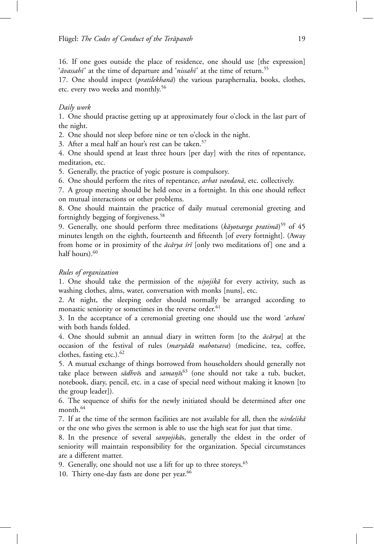16. If one goes outside the place of residence, one should use [the expression] '*avassahī*' at the time of departure and '*nissahī*' at the time of return.<sup>55</sup>

17. One should inspect (*pratilekhanā*) the various paraphernalia, books, clothes, etc. every two weeks and monthly.<sup>56</sup>

## *Daily work*

1. One should practise getting up at approximately four o'clock in the last part of the night.

2. One should not sleep before nine or ten o'clock in the night.

3. After a meal half an hour's rest can be taken.<sup>57</sup>

4. One should spend at least three hours [per day] with the rites of repentance, meditation, etc.

5. Generally, the practice of yogic posture is compulsory.

6. One should perform the rites of repentance, *arhat vandanā*, etc. collectively.

7. A group meeting should be held once in a fortnight. In this one should reflect on mutual interactions or other problems.

8. One should maintain the practice of daily mutual ceremonial greeting and fortnightly begging of forgiveness.<sup>58</sup>

9. Generally, one should perform three meditations (kāyotsarga pratimā)<sup>59</sup> of 45 minutes length on the eighth, fourteenth and fifteenth [of every fortnight]. (Away from home or in proximity of the *ācārya śrī* [only two meditations of] one and a half hours).<sup>60</sup>

## *Rules of organization*

1. One should take the permission of the *niyojika* for every activity, such as washing clothes, alms, water, conversation with monks [nuns], etc.

2. At night, the sleeping order should normally be arranged according to monastic seniority or sometimes in the reverse order.<sup>61</sup>

3. In the acceptance of a ceremonial greeting one should use the word '*arham*' with both hands folded.

4. One should submit an annual diary in written form [to the  $\vec{ac} \vec{ar}$  at the occasion of the festival of rules (*maryādā mahotsava*) (medicine, tea, coffee, clothes, fasting etc.). $62$ 

5. A mutual exchange of things borrowed from householders should generally not take place between *sādhvī*s and *samaṇīs*<sup>63</sup> (one should not take a tub, bucket, notebook, diary, pencil, etc. in a case of special need without making it known [to the group leader]).

6. The sequence of shifts for the newly initiated should be determined after one month.<sup>64</sup>

7. If at the time of the sermon facilities are not available for all, then the *nirdestika* or the one who gives the sermon is able to use the high seat for just that time.

8. In the presence of several *sanyojikās*, generally the eldest in the order of seniority will maintain responsibility for the organization. Special circumstances are a different matter.

9. Generally, one should not use a lift for up to three storeys.<sup>65</sup>

10. Thirty one-day fasts are done per year.<sup>66</sup>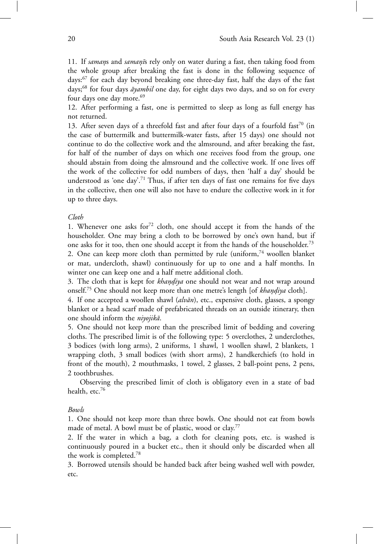11. If *samans* and *samanīs* rely only on water during a fast, then taking food from the whole group after breaking the fast is done in the following sequence of days:<sup>67</sup> for each day beyond breaking one three-day fast, half the days of the fast days;<sup>68</sup> for four days  $\bar{a}$  *awambil* one day, for eight days two days, and so on for every four days one day more.<sup>69</sup>

12. After performing a fast, one is permitted to sleep as long as full energy has not returned.

13. After seven days of a threefold fast and after four days of a fourfold  $fast^{70}$  (in the case of buttermilk and buttermilk-water fasts, after 15 days) one should not continue to do the collective work and the almsround, and after breaking the fast, for half of the number of days on which one receives food from the group, one should abstain from doing the almsround and the collective work. If one lives off the work of the collective for odd numbers of days, then 'half a day' should be understood as 'one day'.<sup>71</sup> Thus, if after ten days of fast one remains for five days in the collective, then one will also not have to endure the collective work in it for up to three days.

*Cloth*

1. Whenever one asks for $72$  cloth, one should accept it from the hands of the householder. One may bring a cloth to be borrowed by one's own hand, but if one asks for it too, then one should accept it from the hands of the householder.<sup>73</sup>

2. One can keep more cloth than permitted by rule (uniform,  $74$  woollen blanket or mat, undercloth, shawl) continuously for up to one and a half months. In winter one can keep one and a half metre additional cloth.

3. The cloth that is kept for *khandiya* one should not wear and not wrap around onself.<sup>75</sup> One should not keep more than one metre's length [of *khandiya* cloth].

4. If one accepted a woollen shawl (*alvān*), etc., expensive cloth, glasses, a spongy blanket or a head scarf made of prefabricated threads on an outside itinerary, then one should inform the *niyojik¯a*.

5. One should not keep more than the prescribed limit of bedding and covering cloths. The prescribed limit is of the following type: 5 overclothes, 2 underclothes, 3 bodices (with long arms), 2 uniforms, 1 shawl, 1 woollen shawl, 2 blankets, 1 wrapping cloth, 3 small bodices (with short arms), 2 handkerchiefs (to hold in front of the mouth), 2 mouthmasks, 1 towel, 2 glasses, 2 ball-point pens, 2 pens, 2 toothbrushes.

Observing the prescribed limit of cloth is obligatory even in a state of bad health, etc.<sup>76</sup>

#### *Bowls*

1. One should not keep more than three bowls. One should not eat from bowls made of metal. A bowl must be of plastic, wood or clay.<sup>77</sup>

2. If the water in which a bag, a cloth for cleaning pots, etc. is washed is continuously poured in a bucket etc., then it should only be discarded when all the work is completed.<sup>78</sup>

3. Borrowed utensils should be handed back after being washed well with powder, etc.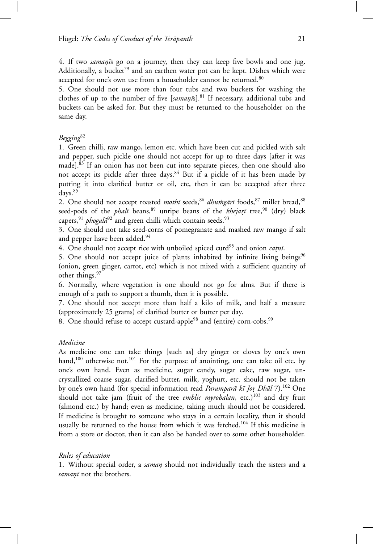4. If two *samanīs* go on a journey, then they can keep five bowls and one jug. Additionally, a bucket<sup>79</sup> and an earthen water pot can be kept. Dishes which were accepted for one's own use from a householder cannot be returned.<sup>80</sup>

5. One should not use more than four tubs and two buckets for washing the clothes of up to the number of five [*samani*s].<sup>81</sup> If necessary, additional tubs and buckets can be asked for. But they must be returned to the householder on the same day.

# *Begging*<sup>82</sup>

1. Green chilli, raw mango, lemon etc. which have been cut and pickled with salt and pepper, such pickle one should not accept for up to three days [after it was made].<sup>83</sup> If an onion has not been cut into separate pieces, then one should also not accept its pickle after three days.<sup>84</sup> But if a pickle of it has been made by putting it into clarified butter or oil, etc, then it can be accepted after three days.<sup>85</sup>

2. One should not accept roasted *mothī* seeds, <sup>86</sup> *dhumgārī* foods, <sup>87</sup> millet bread, <sup>88</sup> seed-pods of the *phalī* beans,<sup>89</sup> unripe beans of the *khejarī* tree,<sup>90</sup> (dry) black capers,<sup>91</sup> *phogal* $\bar{a}^{92}$  and green chilli which contain seeds.<sup>93</sup>

3. One should not take seed-corns of pomegranate and mashed raw mango if salt and pepper have been added.<sup>94</sup>

4. One should not accept rice with unboiled spiced curd<sup>95</sup> and onion *catni*.

5. One should not accept juice of plants inhabited by infinite living beings $96$ (onion, green ginger, carrot, etc) which is not mixed with a sufficient quantity of other things.<sup>97</sup>

6. Normally, where vegetation is one should not go for alms. But if there is enough of a path to support a thumb, then it is possible.

7. One should not accept more than half a kilo of milk, and half a measure (approximately 25 grams) of clarified butter or butter per day.

8. One should refuse to accept custard-apple<sup>98</sup> and (entire) corn-cobs.<sup>99</sup>

# *Medicine*

As medicine one can take things [such as] dry ginger or cloves by one's own hand,<sup>100</sup> otherwise not.<sup>101</sup> For the purpose of anointing, one can take oil etc. by one's own hand. Even as medicine, sugar candy, sugar cake, raw sugar, uncrystallized coarse sugar, clarified butter, milk, yoghurt, etc. should not be taken by one's own hand (for special information read *Paramparā kī Jor Dhāl* 7).<sup>102</sup> One should not take jam (fruit of the tree *emblic myrobalan*, etc.)<sup>103</sup> and dry fruit (almond etc.) by hand; even as medicine, taking much should not be considered. If medicine is brought to someone who stays in a certain locality, then it should usually be returned to the house from which it was fetched.<sup>104</sup> If this medicine is from a store or doctor, then it can also be handed over to some other householder.

# *Rules of education*

1. Without special order, a *saman*º should not individually teach the sisters and a *samanī* not the brothers.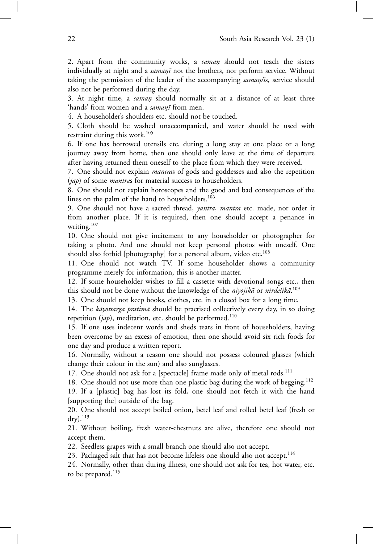2. Apart from the community works, a *saman*º should not teach the sisters individually at night and a *samanī* not the brothers, nor perform service. Without taking the permission of the leader of the accompanying *saman/i*s, service should also not be performed during the day.

3. At night time, a *saman*º should normally sit at a distance of at least three 'hands' from women and a *samanī* from men.

4. A householder's shoulders etc. should not be touched.

5. Cloth should be washed unaccompanied, and water should be used with restraint during this work.<sup>105</sup>

6. If one has borrowed utensils etc. during a long stay at one place or a long journey away from home, then one should only leave at the time of departure after having returned them oneself to the place from which they were received.

7. One should not explain *mantra*s of gods and goddesses and also the repetition (*jap*) of some *mantra*s for material success to householders.

8. One should not explain horoscopes and the good and bad consequences of the lines on the palm of the hand to householders.<sup>106</sup>

9. One should not have a sacred thread, *yantra*, *mantra* etc. made, nor order it from another place. If it is required, then one should accept a penance in writing.<sup>107</sup>

10. One should not give incitement to any householder or photographer for taking a photo. And one should not keep personal photos with oneself. One should also forbid [photography] for a personal album, video etc.<sup>108</sup>

11. One should not watch TV. If some householder shows a community programme merely for information, this is another matter.

12. If some householder wishes to fill a cassette with devotional songs etc., then this should not be done without the knowledge of the *niyojikā* or *nirdeśikā*.<sup>109</sup>

13. One should not keep books, clothes, etc. in a closed box for a long time.

14. The *kāyotsarga pratimā* should be practised collectively every day, in so doing repetition (*jap*), meditation, etc. should be performed.<sup>110</sup>

15. If one uses indecent words and sheds tears in front of householders, having been overcome by an excess of emotion, then one should avoid six rich foods for one day and produce a written report.

16. Normally, without a reason one should not possess coloured glasses (which change their colour in the sun) and also sunglasses.

17. One should not ask for a [spectacle] frame made only of metal rods.<sup>111</sup>

18. One should not use more than one plastic bag during the work of begging.<sup>112</sup>

19. If a [plastic] bag has lost its fold, one should not fetch it with the hand [supporting the] outside of the bag.

20. One should not accept boiled onion, betel leaf and rolled betel leaf (fresh or  $\rm{dry}$ ). $^{113}$ 

21. Without boiling, fresh water-chestnuts are alive, therefore one should not accept them.

22. Seedless grapes with a small branch one should also not accept.

23. Packaged salt that has not become lifeless one should also not accept.<sup>114</sup>

24. Normally, other than during illness, one should not ask for tea, hot water, etc. to be prepared.<sup>115</sup>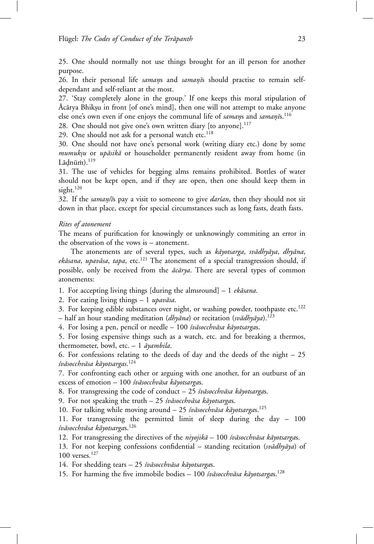25. One should normally not use things brought for an ill person for another purpose.

26. In their personal life *samans* and *samanīs* should practise to remain selfdependant and self-reliant at the most.

27. 'Stay completely alone in the group.' If one keeps this moral stipulation of Acārya Bhikṣu in front [of one's mind], then one will not attempt to make anyone else one's own even if one enjoys the communal life of *samans* and *saman*<sup>5</sup>s.<sup>116</sup>

28. One should not give one's own written diary [to anyone].<sup>117</sup>

29. One should not ask for a personal watch etc. $118$ 

30. One should not have one's personal work (writing diary etc.) done by some *mumuksu* or *upāsikā* or householder permanently resident away from home (in  $Lādnū m$ ). $^{119}$ 

31. The use of vehicles for begging alms remains prohibited. Bottles of water should not be kept open, and if they are open, then one should keep them in sight.<sup>120</sup>

32. If the *saman/is* pay a visit to someone to give *dar'san*, then they should not sit down in that place, except for special circumstances such as long fasts, death fasts.

# *Rites of atonement*

The means of purification for knowingly or unknowingly commiting an error in the observation of the vows is – atonement.

The atonements are of several types, such as *kāyotsarga*, *svādhyāya*, *dhyāna*, *ekāsana*, *upavāsa*, *tapa*, etc.<sup>121</sup> The atonement of a special transgression should, if possible, only be received from the  $\bar{a}c\bar{a}rya$ . There are several types of common atonements:

1. For accepting living things [during the almsround]  $-1$  *ekāsana*.

2. For eating living things  $-1$  *upavāsa*.

3. For keeping edible substances over night, or washing powder, toothpaste etc.<sup>122</sup>  $-$  half an hour standing meditation (*dhyāna*) or recitation (*svādhyāya*).<sup>123</sup>

4. For losing a pen, pencil or needle - 100 *śvāsocchvāsa kāyotsargas*.

5. For losing expensive things such as a watch, etc. and for breaking a thermos, thermometer, bowl, etc. - 1 *āyambila*.

6. For confessions relating to the deeds of day and the deeds of the night – 25 *´sv¯asocchv¯asa k¯ayotsargas*. 124

7. For confronting each other or arguing with one another, for an outburst of an excess of emotion – 100 *śvāsocchvāsa kāyotsarga*s.

8. For transgressing the code of conduct – 25 *śvāsocchvāsa kāyotsargas*.

9. For not speaking the truth – 25 *śvāsocchvāsa kāyotsarga*s.

10. For talking while moving around – 25 *śvāsocchvāsa kāyotsarga*s.<sup>125</sup>

11. For transgressing the permitted limit of sleep during the day – 100 *´sv¯asocchv¯asa k¯ayotsarga*s.<sup>126</sup>

12. For transgressing the directives of the *niyojikā* – 100 *śvāsocchvāsa kāyotsargas*.

13. For not keeping confessions confidential – standing recitation (*svādhyāya*) of 100 verses.<sup>127</sup>

14. For shedding tears – 25 *śvāsocchvāsa kāyotsarga*s.

15. For harming the five immobile bodies – 100 *śvāsocchvāsa kāyotsargas*.<sup>128</sup>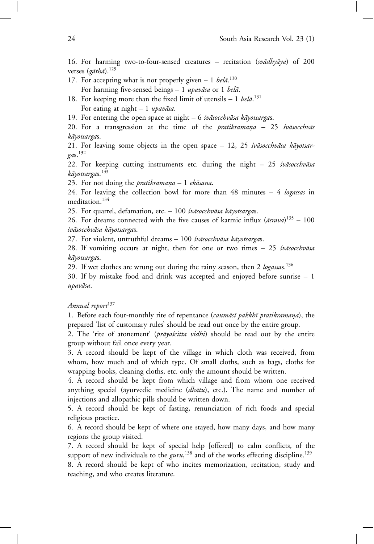16. For harming two-to-four-sensed creatures – recitation (*svādhyāya*) of 200 verses (gāthā).<sup>129</sup>

- 17. For accepting what is not properly given  $-1$  *bela*<sup>130</sup> For harming five-sensed beings - 1 *upavāsa* or 1 *belā*.
- 18. For keeping more than the fixed limit of utensils  $-1$  *belā*.<sup>131</sup>

For eating at night - 1 *upavāsa*.

19. For entering the open space at night – 6 *śvāsocchvāsa kāyotsargas*.

20. For a transgression at the time of the *pratikramana* - 25 *śvāsocchvās k¯ayotsarga*s.

21. For leaving some objects in the open space - 12, 25 *śvāsocchvāsa kāyotsarga*s.<sup>132</sup>

22. For keeping cutting instruments etc. during the night - 25 *śvāsocchvāsa k¯ayotsarga*s.<sup>133</sup>

23. For not doing the *pratikramana* - 1 *ekāsana*.

24. For leaving the collection bowl for more than 48 minutes – 4 *logassas* in meditation.<sup>134</sup>

25. For quarrel, defamation, etc. - 100 *śvāsocchvāsa kāyotsarga*s.

26. For dreams connected with the five causes of karmic influx ( $\bar{a}$ srava)<sup>135</sup> – 100 *´sv¯asocchv¯asa k¯ayotsarga*s.

27. For violent, untruthful dreams - 100 śvāsocchvāsa kāyotsargas.

28. If vomiting occurs at night, then for one or two times - 25 śvāsocchvāsa *k¯ayotsarga*s.

29. If wet clothes are wrung out during the rainy season, then 2 *logassa*s.<sup>136</sup>

30. If by mistake food and drink was accepted and enjoyed before sunrise – 1 *upav¯asa*.

# *Annual report*<sup>137</sup>

1. Before each four-monthly rite of repentance (*caumāsī pakkhī pratikramana*), the prepared 'list of customary rules' should be read out once by the entire group.

2. The 'rite of atonement' (*prāyaścitta vidhi*) should be read out by the entire group without fail once every year.

3. A record should be kept of the village in which cloth was received, from whom, how much and of which type. Of small cloths, such as bags, cloths for wrapping books, cleaning cloths, etc. only the amount should be written.

4. A record should be kept from which village and from whom one received anything special (āyurvedic medicine (*dhātu*), etc.). The name and number of injections and allopathic pills should be written down.

5. A record should be kept of fasting, renunciation of rich foods and special religious practice.

6. A record should be kept of where one stayed, how many days, and how many regions the group visited.

7. A record should be kept of special help [offered] to calm conflicts, of the support of new individuals to the *guru*, <sup>138</sup> and of the works effecting discipline.<sup>139</sup>

8. A record should be kept of who incites memorization, recitation, study and teaching, and who creates literature.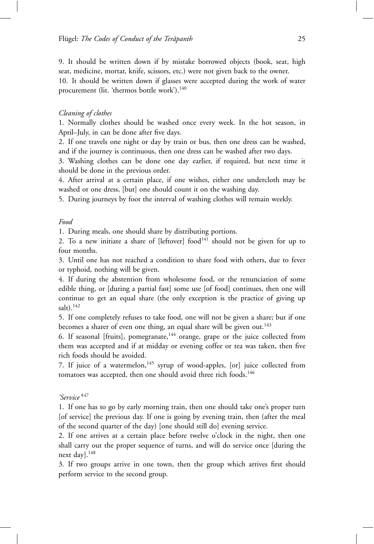9. It should be written down if by mistake borrowed objects (book, seat, high seat, medicine, mortar, knife, scissors, etc.) were not given back to the owner.

10. It should be written down if glasses were accepted during the work of water procurement (lit. 'thermos bottle work').<sup>140</sup>

# *Cleaning of clothes*

1. Normally clothes should be washed once every week. In the hot season, in April–July, in can be done after five days.

2. If one travels one night or day by train or bus, then one dress can be washed, and if the journey is continuous, then one dress can be washed after two days.

3. Washing clothes can be done one day earlier, if required, but next time it should be done in the previous order.

4. After arrival at a certain place, if one wishes, either one undercloth may be washed or one dress, [but] one should count it on the washing day.

5. During journeys by foot the interval of washing clothes will remain weekly.

# *Food*

1. During meals, one should share by distributing portions.

2. To a new initiate a share of [leftover] food $141$  should not be given for up to four months.

3. Until one has not reached a condition to share food with others, due to fever or typhoid, nothing will be given.

4. If during the abstention from wholesome food, or the renunciation of some edible thing, or [during a partial fast] some use [of food] continues, then one will continue to get an equal share (the only exception is the practice of giving up  $salt)$ .<sup>142</sup>

5. If one completely refuses to take food, one will not be given a share; but if one becomes a sharer of even one thing, an equal share will be given out.<sup>143</sup>

6. If seasonal [fruits], pomegranate, $144$  orange, grape or the juice collected from them was accepted and if at midday or evening coffee or tea was taken, then five rich foods should be avoided.

7. If juice of a watermelon,  $145$  syrup of wood-apples, [or] juice collected from tomatoes was accepted, then one should avoid three rich foods.<sup>146</sup>

*'Service'*<sup>147</sup>

1. If one has to go by early morning train, then one should take one's proper turn [of service] the previous day. If one is going by evening train, then (after the meal of the second quarter of the day) [one should still do] evening service.

2. If one arrives at a certain place before twelve o'clock in the night, then one shall carry out the proper sequence of turns, and will do service once [during the next day].<sup>148</sup>

3. If two groups arrive in one town, then the group which arrives first should perform service to the second group.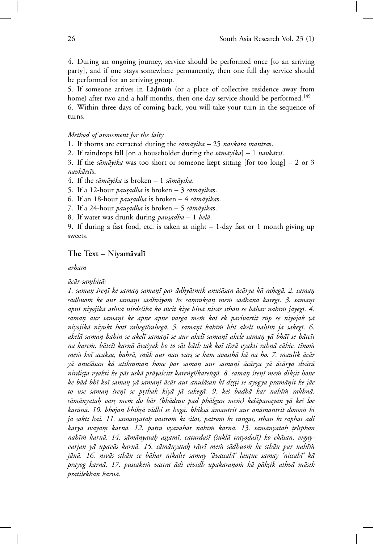4. During an ongoing journey, service should be performed once [to an arriving party], and if one stays somewhere permanently, then one full day service should be performed for an arriving group.

5. If someone arrives in Lādnūm (or a place of collective residence away from home) after two and a half months, then one day service should be performed.<sup>149</sup>

6. Within three days of coming back, you will take your turn in the sequence of turns.

## *Method of atonement for the laity*

1. If thorns are extracted during the *sāmāyika* – 25 *navkāra mantras*.

2. If raindrops fall [on a householder during the *sāmāyika*] – 1 *navkārsī*.

3. If the *sāmāyika* was too short or someone kept sitting [for too long]  $- 2$  or 3 *navk¯ars¯ı*s.

4. If the *sāmāyika* is broken - 1 *sāmāyika*.

5. If a 12-hour *pausadha* is broken – 3 *sāmāyikas*.

6. If an 18-hour *pausadha* is broken – 4 *sāmāyikas*.

7. If a 24-hour *pausadha* is broken – 5 sāmāyikas.

8. If water was drunk during *pausadha* - 1 *belā*.

9. If during a fast food, etc. is taken at night – 1-day fast or 1 month giving up sweets.

## The Text – Niyamāvalī

*arham*

#### *ac¯ ¯ ar-samhit¯* º *a:*

1. saman śrenī ke saman samanī par ādhyātmik anuśāsan ācārya kā rahegā. 2. saman *s¯adhuo ˙m ke aur saman¯*º*ı s¯adhviyo ˙m ke samrak* º º*san me ˙* º *m s¯adhan¯a kareg¯ı. 3. saman¯*º*ı* apnī niyojikā athvā nirdešikā ko sūcit kiye binā nivās sthān se bāhar nahīm jāyegī. 4. *saman aur sama* º *n¯*º*ı ke apne apne varga me ˙m ko¯ı ek parivartit r¯up se niyojak y¯a niyojik¯a niyukt hot¯ı raheg¯ı/raheg¯a. 5. saman¯*º*ı kah¯ı ˙m bh¯ı akel¯ı nah¯ı ˙m ja sakeg¯ı. 6. akel¯a saman bahin se akel¯* º *ı saman¯*º*ı se aur akel¯ı saman¯*º*ı akele saman y¯* º *a bh¯a¯ı se b¯atc¯ıt na kare ˙m. b¯atc¯ıt karn¯a ¯ava´syak ho to s¯at h¯ath tak ko¯ı t¯ısr¯a vyakti rahn¯a c¯ahie. t¯ıno ˙m me ˙m ko¯ı acak*º*su, bahr¯a, m¯uk aur nau var*º*s se kam avasth¯a k¯a na ho. 7. maulik ¯ac¯ar y¯a anu´s¯asan k¯a atikraman hone par sama* º *n aur sama* º *n¯*º*ı ¯ac¯arya y¯a ¯ac¯arya dv¯ar¯a nirdi*º*s*º*ta vyakti ke p¯as usk¯a pr¯aya´scitt kare˙ng¯ı/kare˙ng¯a. 8. saman ´* º *sren¯*º*ı me ˙m dik*º*sit hone ke b¯ad bh¯ı ko¯ı saman y¯* º *a saman¯*º*ı ¯ac¯ar aur anu´s¯asan k¯ı dr*ºº*s*º*ti se ayogya pram¯anit ke j¯* º *ae to use saman ´* º *sren¯*º*ı se prthak kiy¯* º *a j¯a sakeg¯a. 9. ke´s badh¯a kar nah¯ı ˙m rakhn¯a.* sāmānyataḥ varṣ meṁ do bār (bhādrav pad phālgun meṁ) keśāpanayan yā keś loc *kar¯an¯a. 10. bhojan bhik*º*s¯a vidhi se hog¯a. bhik*º*s¯a ¯amantrit aur an¯amantrit dono ˙m k¯ı j¯a sakt¯ı hai. 11. s¯am¯anyatah vastro ˙* º *m k¯ı sil¯a¯ı, p¯atro ˙m k¯ı ra˙ng¯a¯ı, sth¯an k¯ı saph¯a¯ı ¯adi k¯arya svayam karn¯* º *a. 12. patra vyavah¯ar nah¯ı ˙m karn¯a. 13. s¯am¯anyatah* º º*tel¯ıphon nah¯ı ˙m karn¯a. 14. s¯am¯anyatah a* º º*s*º*tam¯ı, caturda´s¯ı (´sukl¯a trayoda´s¯ı) ko ek¯asan, vigayvarjan y¯a upav¯as karn¯a. 15. s¯am¯anyatah r¯* º *atr¯ı me ˙m s¯adhuo ˙m ke sth¯an par nah¯ı ˙m* jānā. 16. nivās sthān se bāhar nikalte samay 'āvassahī' lautne samay 'nissahī' kā *prayog karn¯a. 17. pustake ˙m vastra ¯adi vividh upakarano ˙* º *m k¯a p¯ak*º*sik athv¯a m¯asik pratilekhan karn¯a.*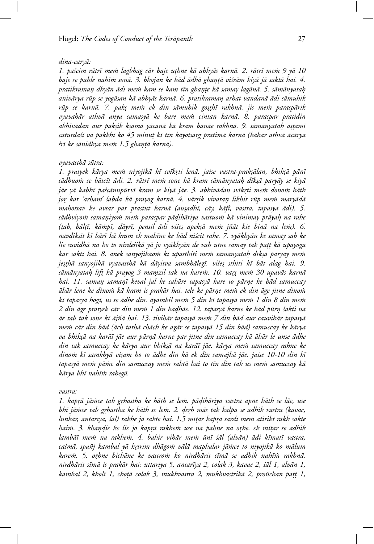## *dina-cary¯a:*

1. paścim rātrī mem lagbhag cār baje uthne kā abhyās karnā. 2. rātrī mem 9 yā 10 baje se pahle nahīm sonā. 3. bhojan ke bād ādhā ghantā viśrām kiyā jā saktā hai. 4. *pratikraman dhy¯* º *an ¯adi me ˙m kam se kam t¯ın ghan*ºº*te k¯a samay lag¯an¯a. 5. s¯am¯anyatah*º *aniv¯arya r¯up se yog¯asan k¯a abhy¯as karn¯a. 6. pratikraman arhat vandan¯* º *a ¯adi s¯amuhik r¯up se karn¯a. 7. pak*º*s me ˙m ek din s¯amuhik go*º*s*º*th¯ı rakhn¯a. jis me ˙m parasp¯arik vyavahār athvā anya samasyā ke bare mem cintan karnā. 8. paraspar pratidin abhiv¯adan aur p¯ak*º*sik k*º*sam¯a y¯acan¯a k¯a kram ban¯ae rakhn¯a. 9. s¯am¯anyatah a* º º*s*º*tam¯ı caturda´s¯ı va pakkh¯ı ko 45 minu*º*t k¯ı t¯ın k¯ayotsarg pratim¯a karn¯a (b¯ahar athv¯a ¯ac¯arya ´sr¯ı ke s¯anidhya me ˙m 1.5 ghan*ºº*t¯a karn¯a).*

## *vyavasth¯a s¯utra:*

1. pratyek kārya mem niyojikā kī svīkṛti lenā. jaise vastra-prakṣālan, bhikṣā pānī *s¯adhuo ˙m se b¯atc¯ıt ¯adi. 2. r¯atr¯ı me ˙m sone k¯a kram s¯am¯anyatah d¯* º *ık*º*s¯a pary¯ay se kiy¯a* jāe yā kabhī paścānupūrvī kram se kiyā jāe. 3. abhivādan svīkrti mem donom hāth *jor kar 'arham' ´* º *sabda k¯a prayog karn¯a. 4. v¯ar*º*sik vivaran likhit r¯* º *up me ˙m mary¯ad¯a mahotsav ke avsar par prastut karn¯a (au*º*sadh¯ı, c¯ay, k¯af¯ı, vastra, tapasya ¯adi). 5. s¯adhviyo ˙m samaniyo ˙* º *m me ˙m paraspar p¯adih¯* º *ariya vastuo ˙m k¯a vinimay pr¯ayah na rahe* º *(*º*tab, b¯al*º*t¯ı, k¯a ˙mp¯ı, d¯*º*ayr¯ı, pensil ¯adi vi´se*º*s apek*º*s¯a me ˙m j˜n¯at kie bin¯a na le ˙m). 6. navdik*º*sit k¯ı b¯ar¯ı k¯a kram ek mah¯ıne ke b¯ad ni´scit rahe. 7. vy¯akhy¯an ke samay sab ke lie suvidh¯a na ho to nirde´sik¯a y¯a jo vy¯akhy¯an de vah utne samay tak pa*º*t*º*t k¯a upayoga kar sakt¯ı hai. 8. anek sanyojik¯ao ˙m k¯ı upasthiti me ˙m s¯am¯anyatah d¯* º *ık*º*s¯a pary¯ay me ˙m je*º*s*º*th¯a sanyojik¯a vyavasth¯a k¯a d¯ayitva sambh¯aleg¯ı. vi´se*º*s sthiti k¯ı b¯at alag hai. 9. s¯am¯anyatah lif* º º*t k¯a prayog 3 mamzil tak na kare ˙* º *m. 10. var*ºº*s me ˙m 30 upav¯as karn¯a hai. 11. saman samanī keval jal ke sahāre tapasyā kare to pārne ke bād samuccay ah¯ ¯ ar lene ke dino ˙m k¯a kram is prak¯ar hai. tele ke p¯arne me ˙* º *m ek din ¯age jitne dino ˙m k¯ı tapasy¯a hog¯ı, us se ¯adhe din. ¯ayambil me ˙m 5 din k¯ı tapasy¯a me ˙m 1 din 8 din me ˙m 2 din ¯age pratyek c¯ar din me ˙m 1 din badh¯* º *ae. 12. tapasy¯a karne ke b¯ad p¯urn ´* º *sakti na ae tab tak sone k¯ ¯ ı ¯aj˜n¯a hai. 13. tivih¯ar tapasy¯a me ˙m 7 din b¯ad aur cauvih¯ar tapasy¯a me ˙m c¯ar din b¯ad (¯ach tath¯a ch¯ach ke ag¯ar se tapasy¯a 15 din b¯ad) samuccay ke k¯arya* va bhikṣā na karāī jāe aur pārṇā karne par jitne din samuccay kā āhār le unse ādhe *din tak samuccay ke k¯arya aur bhik*º*s¯a na kar¯a¯ı j¯ae. k¯arya me ˙m samuccay rahne ke* dinom kī samkhyā visam ho to ādhe din kā ek din samajhā jāe. jaise 10-10 din kī tapasyā mem pāmc din samuccay mem rahtā hai to tīn din tak us mem samuccay kā *k¯arya bh¯ı nah¯ı ˙m raheg¯a.*

#### *vastra:*

*1. kapr¯*º*a j¯a ˙mce tab grhastha ke h¯* º *ath se le ˙m. p¯adih¯* º *ariya vastra apne h¯ath se l¯ae, use bh¯ı j¯a ˙mce tab grhastha ke h¯* º *ath se le ˙m. 2. de*º *rh m¯* º *as tak kalpa se adhik vastra (kavac, lu˙nk¯ar, antar¯ıya, ´s¯al) rakhe j¯a sakte hai. 1.5 m¯ı*º*t¯ar kapr¯*º*a sard¯ı me ˙m atirikt rakh sakte hai ˙m. 3. khan*º*die ke lie jo kap* º *r¯*º*a rakhe ˙m use na pahne na orhe. ek m¯* º *ı*º*tar se adhik lamb¯a¯ı me ˙m na rakhe ˙m. 4. bahir vih¯ar me ˙m ¯un¯ı ´s¯al (alv¯an) ¯adi k¯ımat¯ı vastra, ca´sm¯a, spa˜nj kambal y¯a krtrim dh¯* º *ago ˙m v¯al¯a maphalar j¯a ˙mce to niyojik¯a ko m¯alum kare ˙m. 5. orhne bich¯* º *ane ke vastro ˙m ko nirdh¯arit s¯ım¯a se adhik nah¯ı ˙m rakhn¯a. nirdh¯arit s¯ım¯a is prak¯ar hai: uttariya 5, antar¯ıya 2, colak 3, kavac 2, ´s¯al 1, alv¯an 1, kambal 2, kholī 1, choțā colak 3, mukhvastra 2, mukhvastrikā 2, proñchan patt 1,*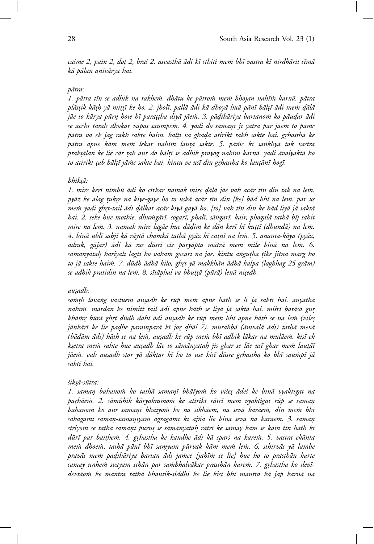*ca´sme 2, pain 2, do*º*t 2, bra´s 2. asvasth¯a ¯adi k¯ı sthiti me ˙m bh¯ı vastra k¯ı nirdh¯arit s¯ım¯a k¯a p¯alan aniv¯arya hai.*

#### *p¯atra:*

1. pātra tīn se adhik na rakhem. dhātu ke pātrom mem bhojan nahīm karnā. pātra *pl¯as*º*tik k¯a*º*th y¯a mi*º*t*º*t¯ı ke ho. 2. jhol¯ı, pall¯a ¯adi k¯a dhoy¯a hu¯a p¯an¯ı b¯al*º*t¯ı ¯adi me ˙m d¯*º*al¯a j¯ae to k¯arya p¯urn hote h¯* º *ı para*º*t*º*tha diy¯a j¯ae ˙m. 3. p¯adih¯* º *ariya bartano ˙m ko p¯audar ¯* º *adi* se acchī tarah dhokar vāpas saumpem. 4. yadi do samaņī jī yātrā par jāem to pāmc *p¯atra va ek jag rakh sakte hai ˙m. b¯al*º*t¯ı va ghad¯*º*a atirikt rakh sakte hai. grhastha ke* º *p¯atra apne k¯am me ˙m lekar nah¯ı ˙m lau*º*t¯a sakte. 5. p¯a ˙mc k¯ı sa˙nkhy¯a tak vastra prak*º*s¯alan ke lie c¯ar* º*tab aur do b¯al*º*t¯ı se adhik prayog nah¯ı ˙m karn¯a. yadi ¯ava´syakt¯a ho to atirikt* º*tab b¯al*º*t¯ı j¯a ˙mc sakte hai, kintu ve us¯ı din grhastha ko lau* º º*t¯an¯ı hog¯ı.*

### *bhik*º*s¯a:*

1. mirc kerī nīmbū ādi ko cīrkar namak mirc dālā jāe vah acār tīn din tak na lem. *py¯az ke alag* º*tukre na kiye-gaye ho to usk¯* º *a ac¯ar t¯ın din [ke] b¯ad bh¯ı na le ˙m. par us mem yadi ghrt-tail ādi dālkar acār kiyā gayā ho, [to] vah tīn din ke bād liyā jā saktā* hai. 2. seke hue mothie, dhu $m$ gārī, sogarī, phalī, sāṅgarī, kair, phogalā tathā bīj sahit *mirc na lem. 3. namak mirc lagāe hue dādim ke dān kerī kī kuttī (dhundā) na lem. 4. bin¯a ubl¯ı sabj¯ı k¯a r¯ayt¯a chamk¯a tath¯a py¯az k¯ı ca*º*tn¯ı na le ˙m. 5. ananta-k¯aya (py¯az,* adrak, gājar) ādi kā ras dūsrī cīz paryāpta mātrā mem mile binā na lem. 6. *s¯am¯anyatah hariy¯* º *al¯ı lagt¯ı ho vah¯a ˙m gocar¯ı na j¯ae. kintu a˙ngu*º*th¯a* º*tike jitn¯a m¯arg ho to j¯a sakte hai ˙m. 7. d¯udh ¯adh¯a kilo, ghrt y¯* º *a makkh¯an ¯adh¯a kalpa (lagbhag 25 gr¯am) se adhik pratidin na le ˙m. 8. s¯ıt¯aphal va bhu*º*t*º*t¯a (p¯ur¯a) len¯a ni*º*sedh.*

#### *au*º*sadh:*

somth lavang vastuem ausadh ke rūp mem apne hāth se lī jā saktī hai. anyathā nahīm. mardan ke nimitt tail ādi apne hāth se liyā jā saktā hai. miśrī batāsā gur *kh¯a ˙mr b¯* º *ur¯a ghrt d¯* º *udh dah¯ı ¯adi au*º*sadh ke r¯up me ˙m bh¯ı apne h¯ath se na le ˙m (vi´se*º*s* jānkārī ke lie padhe paramparā kī jor dhāl 7). murabbā (āmvalā ādi) tathā mevā *(b¯ad¯am ¯adi) h¯ath se na le ˙m, au*º*sadh ke r¯up me ˙m bh¯ı adhik l¯akar na mul¯ae ˙m. kis¯ı ek k*º*setra me ˙m rahte hue au*º*sadh l¯ae to s¯am¯anyatah jis ghar se l¯* º *ae us¯ı ghar me ˙m lau*º*t¯a¯ı j¯ae ˙m. vah au*º*sadh s*º*tor y¯a d¯*º*ak*º*tar k¯ı ho to use kis¯ı d¯usre grhastha ko bh¯* º *ı sau ˙mp¯ı j¯a sakt¯ı hai.*

#### *´sik*º*s¯a-s¯utra:*

*1. saman bahano ˙* º *m ko tath¯a saman¯*º*ı bh¯a¯ıyo ˙m ko vi´se*º*s ¯ade´s ke bin¯a vyaktigat na* parhāem. 2. sāmūhik kāryakramom ke atirikt rātrī mem vyaktigat rūp se saman *bahanom ko aur samanī bhāīyom ko na sikhāem, na sevā karāem, din mem bhī* sahagāmī saman-samanīyāṁ agragāmī kī ājñā lie binā sevā na karāeṁ. 3. saman *striyo ˙m se tath¯a saman¯*º*ı puru*º*s se s¯am¯anyatah r¯* º *atr¯ı ke samay kam se kam t¯ın h¯ath k¯ı d¯ur¯ı par bai*º*the ˙m. 4. grhastha ke kandhe ¯* º *adi k¯a spar´s na kare ˙m. 5. vastra ek¯anta me ˙m dhoe ˙m, tath¯a p¯an¯ı bh¯ı samyam p¯* º *urvak k¯am me ˙m le ˙m. 6. sthirv¯as y¯a lambe* pravās mem padihāriya bartan ādi jamce [jahīm se lie] hue ho to prasthān karte samay unhem svayam sthān par sambhalvākar prasthān karem. 7. grhastha ko devīdevtāom ke mantra tathā bhautik-siddhi ke lie kisī bhī mantra kā jap karnā na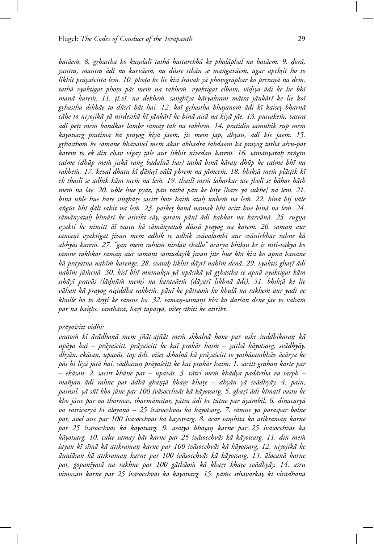*batāem. 8. grhastha ko kundalī tathā hastarekhā ke phalāphal na batāem. 9. dorā*, *yantra, mantra ¯adi na karv¯ae ˙m, na d¯usre sth¯an se ma˙ngav¯ae ˙m. agar apek*º*sit ho to likhit pr¯aya´scitta le ˙m. 10. pho*º*to ke lie kis¯ı ´sr¯avak y¯a pho*º*togr¯aphar ko preran¯*º*a na de ˙m. tath¯a vyaktigat pho*º*to p¯as me ˙m na rakhe ˙m. vyaktigat elbam, v¯ıdiyo ¯* º *adi ke lie bh¯ı* manā karem. 11. tī.vī. na dekhem. sanghīya kāryakram mātra jānkārī ke lie koī *grhastha dikh¯* º *ae to d¯usr¯ı b¯at hai. 12. ko¯ı grhastha bhajano ˙* º *m ¯adi k¯ı kaise*º*t bharn¯a c¯ahe to niyojik¯a y¯a nirde´sik¯a k¯ı j¯ank¯ar¯ı ke bin¯a ais¯a na kiy¯a j¯ae. 13. pustake ˙m, vastra*  $\bar{a}$ di petī mem bandkar lambe samay tak na rakhem. 14. pratidin sāmūhik rūp mem kāyotsarg pratimā kā prayog kiyā jāem, jis mem jap, dhyān, ādi kie jāem. 15. grhasthom ke sāmane bhāvāveś mem ākar abhadra śabdaom kā prayog tathā aśru-pāt *kare ˙m to ek din chav vigay* º*t¯ale aur likhit nivedan kare ˙m. 16. s¯am¯anyatah ra˙* º *ng¯ın ca´sme (dh¯up me ˙m jisk¯a ra˙ng badaln¯a hai) tath¯a bin¯a k¯aran dh¯* º *up ke ca´sme bh¯ı na rakhe ˙m. 17. keval dhatu k¯ı d¯*º*a ˙mr¯*º*ı v¯al¯a phrem na j¯a ˙mce ˙m. 18. bhik*º*s¯a me ˙m pl¯as*º*tik k¯ı* ek thailī se adhik kām mem na lem. 19. thailī mem laharkar use jholī se bāhar hāth *me ˙m na l¯ae. 20. uble hue py¯az, p¯an tath¯a p¯an ke b¯ıre [hare y¯* º *a sukhe] na le ˙m. 21. bin¯a uble hue hare si˙ngh¯are sacitt hote hai ˙* º *m atah unhe ˙* º *m na le ˙m. 22. bin¯a b¯ıj v¯ale a˙ng¯ur bh¯ı d¯*º*al¯ı sahit na le ˙m. 23. paike*º*t band namak bh¯ı acitt hue bin¯a na le ˙m. 24.* sāmānyatah bīmārī ke atirikt cāy, garam pānī ādi kahkar na karvānā. 25. rugņa *vyakti ke nimitt ¯a¯ı vastu k¯a s¯am¯anyatah d¯* º *usr¯a prayog na kare ˙m. 26. saman aur* º samaṇī vyaktigat jīvan mem adhik se adhik svāvalambī aur svānirbhar rahne kā *abhy¯as kare ˙m. 27. "gan me ˙* º *m rah¯u ˙m nird¯av ekallo" ¯ac¯arya bhik*º*su ke is n¯ıti-v¯akya ko* sāmne rakhkar saman aur samanī sāmudāyik jīvan jīte hue bhī kisī ko apnā banāne *k¯a prayatna nah¯ı ˙m kare˙nge. 28. svatah likhit d¯* º *ayr¯ı nah¯ı ˙m den¯a. 29. vyakti´s ghar¯*º*ı ¯adi nah¯ı ˙m j¯a ˙mcn¯a. 30. kis¯ı bh¯ı mumuk*º*su y¯a up¯asik¯a y¯a grhastha se apn¯* º *a vyaktigat k¯am sth¯ay¯ı prav¯as (l¯adn¯* º *u ˙m me ˙m) na karav¯ae ˙m (d¯ayar¯ı likhn¯a ¯adi). 31. bhik*º*s¯a ke lie v¯ahan k¯a prayog ni*º*siddha rakhe ˙m. p¯an¯ı ke p¯atrao ˙m ko khul¯a na rakhe ˙m aur yadi ve khulle ho to drsti ke sāmne ho. 32. saman-samanī kisī ko darían dene jāe to vahām par na bai*º*the. santh¯ar¯a, bar¯*º*ı tapasy¯a, vi´se*º*s sthiti ke atirikt.*

#### *pr¯aya´scitt vidhi:*

*vrato ˙m k¯ı ¯ar¯adhan¯a me ˙m j˜n¯at-aj˜n¯at me ˙m skhaln¯a hone par uske ´suddhikaran k¯* º *a* upāya hai – prāyaścitt. prāyaścitt ke kaī prakār hai $\dot{m}$  – yathā kāyotsarg, svādhyāy, dhyān, ekāsan, upavās, tap ādi. viśeṣ skhalnā kā prāyaścitt to yathāsambhāv ācārya ke *p¯as h¯ı liy¯a j¯at¯a hai. s¯adh¯aran pr¯* º *aya´scitt ke ka¯ı prak¯ar hai ˙m: 1. sacitt grahan karte par* º *– ek¯asan. 2. sacitt kh¯ane par – upav¯as. 3. r¯atri me ˙m kh¯adya pad¯artha va sarph – ma˜njan ¯adi rahne par ¯adh¯a ghan*ºº*t¯a khare kha* º *re – dhy¯* º *an y¯a sv¯adhy¯ay. 4. pain, painsil, y¯a s¯u¯ı kho j¯ane par 100 ´sv¯asocchv¯as k¯a k¯ayotsarg. 5. ghar¯*º*ı ¯adi k¯ımat¯ı vastu ke kho j¯ane par va tharmas, tharm¯am¯ı*º*tar, p¯atra ¯adi ke* º*t¯u*º*tne par ¯ayambil. 6. dinacary¯a* va rātricaryā kī āloyaņā – 25 *śvāsocchvās kā kāyotsarg. 7. sāmne yā paraspar bolne* par, āveś āne par 100 śvāsocchvās kā kāyotsarg. 8. ācār samhitā kā atikramaņ karne *par 25 ´sv¯asocchv¯as k¯a k¯ayotsarg. 9. asatya bh¯a*º*san karne par 25 ´* º *sv¯asocchv¯as k¯a* kāyotsarg. 10. calte samay bāt karne par 25 *švāsocchvās kā kāyotsarg. 11. din me*m *´sayan k¯ı s¯ım¯a k¯a atikraman karne par 100 ´* º *sv¯asocchv¯as k¯a k¯ayotsarg. 12. niyojik¯a ke anu´ ¯ s¯asan k¯a atikraman karne par 100 ´* º *sv¯asocchv¯as k¯a k¯ayotsarg. 13. ¯alocan¯a karne* par, gopanīyatā na rakhne par 100 gāthāom kā khare khare svādhyāy. 14. a'sru vimocan karne par 25 *švāsocchvās kā kāyotsarg. 15. pārnc sthāvarkāy kī virādhanā*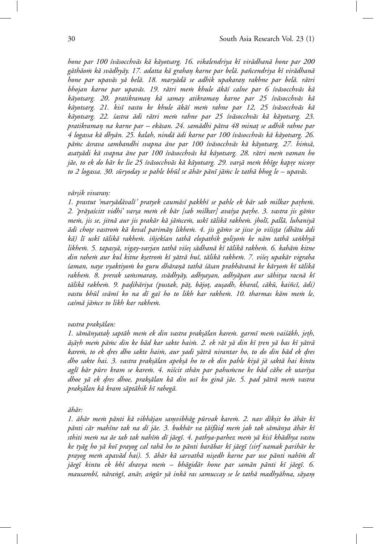hone par 100 śvāsocchvās kā kāyotsarg. 16. vikalendriya kī virādhanā hone par 200 gāthāo $\dot{m}$  kā svādhyāy. 17. adatta kā grahan karne par belā. pañcendriya kī virādhanā *hone par upav¯as y¯a bel¯a. 18. mary¯ad¯a se adhik upakaran rakhne par bel¯* º *a. r¯atri bhojan karne par upavās. 19. rātri mem khule ākās calne par 6 svāsocchvās kā k¯ayotsarg. 20. pratikraman k¯* º *a samay atikraman karne par 25 ´* º *sv¯asocchv¯as k¯a* kāyotsarg. 21. kisī vastu ke khule ākāś mem rahne par 12, 25 śvāsocchvās kā kāyotsarg. 22. *šastra ādi rātri mem rahne par 25 śvāsocchvās kā kāyotsarg. 23. pratikraman na karne par – ek¯* º *asan. 24. sam¯adhi p¯atra 48 mina*º*t se adhik rahne par* 4 logassa kā dhyān. 25. kalah, nindā ādi karne par 100 śvāsocchvās kā kāyotsarg. 26. pāmc āsrava sambandhi svapna āne par 100 śvāsocchvās kā kāyotsarg. 27. himsā, *asaty¯adi k¯a svapna ¯ane par 100 ´sv¯asocchv¯as k¯a k¯ayotsarg. 28. r¯atri me ˙m vaman ho* jāe, to ek do bār ke lie 25 śvāsocchvās kā kāyotsarg. 29. varṣā mem bhīge kapre nicore to 2 logassa. 30. sūryoday se pahle bhūl se āhār pānī jāmc le tathā bhog le – upavās.

#### *v¯ar*º*sik vivaran:* º

1. prastut 'maryādāvalī' pratyek caumāsī pakkhī se pahle ek bār sab milkar parhem. 2. 'prāyaścitt vidhi' varṣa mem ek bār [sab milkar] avaśya parhe. 3. vastra jis gāmv *mem, jis se, jitnā aur jis prakār kā jāmcem, uskī tālikā rakhem. jholī, pallā, luhaniyā adi cho ¯* º*te vastro ˙m k¯a keval parim¯an likhe ˙* º *m. 4. jis g¯a ˙mv se jisse jo vi´si*º*s*º*ta (dh¯atu ¯adi* kā) lī uskī tālikā rakhem. iñjekśan tathā elopathik goliyom ke nām tathā sankhyā likhem. 5. tapasyā, vigay-varjan tathā viśes sādhanā kī tālikā rakhem. 6. kahām kitne *din rahe ˙m aur kul kitne k*º*setro ˙m k¯ı y¯atr¯a hu¯ı, t¯alik¯a rakhe ˙m. 7. vi´se*º*s upak¯ar vigraha ´saman, naye vyaktiyo ˙m ko guru dh¯aran¯*º*a tath¯a ´s¯asan prabh¯avan¯a ke k¯aryo ˙m k¯ı t¯alik¯a* rakhem. 8. prerak samsmaran, svādhyāy, adhyayan, adhyāpan aur sāhitya racnā kī *t¯alik¯a rakhe ˙m. 9. padih¯* º *ariya (pustak, p¯a*º*t, b¯ajo*º*t, au*º*sadh, kharal, c¯ak¯u, kai˜nc¯ı, ¯adi)* vastu bhūl svāmī ko na dī gaī ho to likh kar rakhem. 10. tharmas kām mem le, *ca´sm¯a j¯a ˙mce to likh kar rakhe ˙m.*

### *vastra prak*º*s¯alan:*

*1. s¯am¯anyatah sapt¯* º *ah me ˙m ek din vastra prak*º*s¯alan kare ˙m. garm¯ı me ˙m vai´s¯akh, je*º*th, a¯*º*s¯arh me ˙* º *m p¯a ˙mc din ke b¯ad kar sakte hai ˙m. 2. ek r¯at y¯a din k¯ı* º*tren y¯a bas k¯ı y¯atr¯a* karem, to ek dres dho sakte haim, aur yadi yātrā nirantar ho, to do din bād ek dres dho sakte hai. 3. vastra prakṣālan apekṣā ho to ek din pahle kiyā jā saktā hai kintu aglī bār pūrv kram se karem. 4. niścit sthān par pahumcne ke bād cāhe ek utarīya dhoe yā ek dres dhoe, praksālan kā din usī ko ginā jāe. 5. pad yātrā mem vastra *prak*º*s¯alan k¯a kram s¯apt¯ahik h¯ı raheg¯a.*

#### *ah¯ ¯ ar:*

*1. ¯ah¯ar me ˙m p¯anti k¯a vibh¯ajan samvibh¯* º *ag p¯urvak kare ˙m. 2. nav d¯ık*º*sit ko ¯ah¯ar k¯ı* pānti cār mahīne tak na dī jāe. 3. bukhār va tāifāid mem jab tak sāmānya āhār kī *sthiti me ˙m na ¯ae tab tak nah¯ı ˙m d¯ı j¯aeg¯ı. 4. pathya-parhez me ˙m y¯a kis¯ı kh¯adhya vastu* ke tyāg ho yā koī prayog cal rahā ho to pānti barābar kī jāegī (sirf namak parihār ke prayog mem apavād hai). 5. āhār kā sarvathā nisedh karne par use pānti nahīm dī jāegī kintu ek bhī dravya mem – bhāgidār hone par samān pānti kī jāegī. 6. mausambī, nāraṅgī, anār, aṅgūr yā inkā ras samuccay se le tathā madhyāhna, sāyam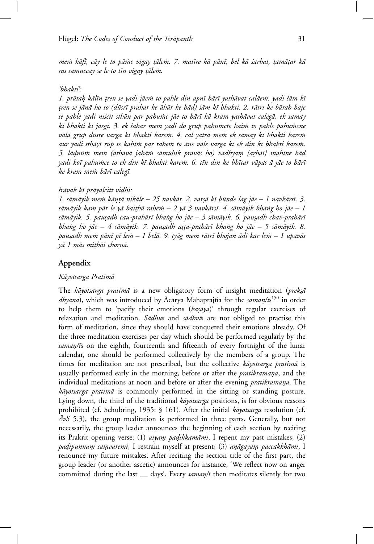*me ˙m k¯af¯ı, c¯ay le to p¯a ˙mc vigay* º*t¯ale ˙m. 7. mat¯ıre k¯a p¯an¯ı, bel k¯a ´sarbat,* º*tam¯a*º*tar k¯a ras samuccay se le to tīn vigay țālem.* 

### *'bhakti':*

1. prātah kālīn tren se yadi jāem to pahle din apnī bārī yathāvat calāem. yadi śām kī º*tren se j¯an¯a ho to (d¯usr¯ı prahar ke ¯ah¯ar ke b¯ad) ´s¯am k¯ı bhakti. 2. r¯atri ke b¯arah baje* se pahle yadi niścit sthān par pahumc jāe to bārī kā kram yathāvat calegā, ek samay kī bhakti kī jāegī. 3. ek *šahar mem yadi do grup pahumcte haim to pahle pahumcne* vālā grup dūsre varga kī bhakti karem. 4. cal yātrā mem ek samay kī bhakti karem aur yadi sthāyī rūp se kahīm par rahem to āne vāle varga kī ek din kī bhakti karem. *5. l¯adn¯* º *u ˙m me ˙m (athav¯a jah¯a ˙m s¯am¯uhik prav¯as ho) vadhyam [a* º *rh¯* º *a¯ı] mah¯ıne b¯ad* yadi koī pahumce to ek din kī bhakti karem. 6. tīn din ke bhītar vāpas ā jāe to bārī *ke kram me ˙m b¯ar¯ı caleg¯ı.*

## *´sr¯avak k¯ı pr¯aya´scitt vidhi:*

*1. s¯am¯ayik me ˙m k¯an*ºº*t¯a nik¯ale – 25 navk¯ar. 2. var*º*s¯a k¯ı b¯unde lag j¯ae – 1 navk¯ars¯ı. 3. s¯am¯ayik kam p¯ar le y¯a bai*º*th¯a rahe ˙m – 2 y¯a 3 navk¯ars¯ı. 4. s¯am¯ayik bha˙ng ho j¯ae – 1 s¯am¯ayik. 5. pau*º*sadh cau-prah¯ar¯ı bha˙ng ho j¯ae – 3 s¯am¯ayik. 6. pau*º*sadh chav-prah¯ar¯ı bha˙ng ho j¯ae – 4 s¯am¯ayik. 7. pau*º*sadh a*º*s*º*ta-prah¯ar¯ı bha˙ng ho j¯ae – 5 s¯am¯ayik. 8. pau*º*sadh me ˙m p¯an¯ı p¯ı le ˙m – 1 bel¯a. 9. ty¯ag me ˙m r¯atr¯ı bhojan ¯adi kar le ˙m – 1 upav¯as yā 1 mās miṭhāī choṛnā*.

# **Appendix**

## *K¯ayotsarga Pratim¯a*

The *kāyotsarga pratimā* is a new obligatory form of insight meditation (*prekṣā dhyāna*), which was introduced by Ācārya Mahāprajña for the *saman/ī*s<sup>150</sup> in order to help them to 'pacify their emotions (*kasaya*)' through regular exercises of relaxation and meditation. *Sādhus* and *sādhvīs* are not obliged to practise this form of meditation, since they should have conquered their emotions already. Of the three meditation exercises per day which should be performed regularly by the saman/is on the eighth, fourteenth and fifteenth of every fortnight of the lunar calendar, one should be performed collectively by the members of a group. The times for meditation are not prescribed, but the collective *kāyotsarga pratimā* is usually performed early in the morning, before or after the *pratikramana*, and the individual meditations at noon and before or after the evening *pratikramana*. The *kāyotsarga pratimā* is commonly performed in the sitting or standing posture. Lying down, the third of the traditional *kāyotsarga* positions, is for obvious reasons prohibited (cf. Schubring, 1935: § 161). After the initial *kāyotsarga* resolution (cf.  $\bar{A}vS$  5.3), the group meditation is performed in three parts. Generally, but not necessarily, the group leader announces the beginning of each section by reciting its Prakrit opening verse: (1) *aiyam padikkamāmi*, I repent my past mistakes; (2) *padipunnam samvaremi*, I restrain myself at present; (3) anāgayam paccakkhāmi, I renounce my future mistakes. After reciting the section title of the first part, the group leader (or another ascetic) announces for instance, 'We reflect now on anger committed during the last \_\_ days'. Every *saman/ī* then meditates silently for two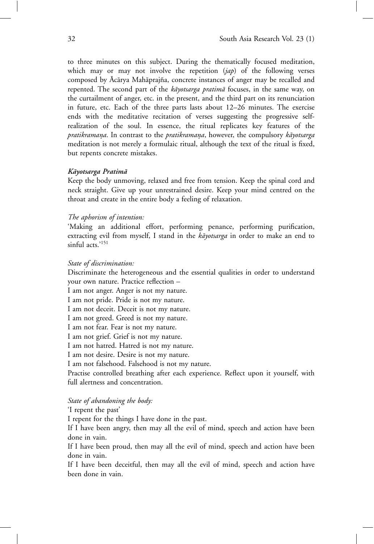to three minutes on this subject. During the thematically focused meditation, which may or may not involve the repetition (*jap*) of the following verses composed by Ācārya Mahāprajña, concrete instances of anger may be recalled and repented. The second part of the *kāyotsarga pratimā* focuses, in the same way, on the curtailment of anger, etc. in the present, and the third part on its renunciation in future, etc. Each of the three parts lasts about 12–26 minutes. The exercise ends with the meditative recitation of verses suggesting the progressive selfrealization of the soul. In essence, the ritual replicates key features of the *pratikramana*. In contrast to the *pratikramana*, however, the compulsory *kayotsarga* meditation is not merely a formulaic ritual, although the text of the ritual is fixed, but repents concrete mistakes.

### *K¯ayotsarga Pratim¯a*

Keep the body unmoving, relaxed and free from tension. Keep the spinal cord and neck straight. Give up your unrestrained desire. Keep your mind centred on the throat and create in the entire body a feeling of relaxation.

### *The aphorism of intention:*

'Making an additional effort, performing penance, performing purification, extracting evil from myself, I stand in the *kāyotsarga* in order to make an end to sinful acts.'<sup>151</sup>

#### *State of discrimination:*

Discriminate the heterogeneous and the essential qualities in order to understand your own nature. Practice reflection –

I am not anger. Anger is not my nature.

I am not pride. Pride is not my nature.

I am not deceit. Deceit is not my nature.

I am not greed. Greed is not my nature.

I am not fear. Fear is not my nature.

I am not grief. Grief is not my nature.

I am not hatred. Hatred is not my nature.

I am not desire. Desire is not my nature.

I am not falsehood. Falsehood is not my nature.

Practise controlled breathing after each experience. Reflect upon it yourself, with full alertness and concentration.

*State of abandoning the body:*

'I repent the past'

I repent for the things I have done in the past.

If I have been angry, then may all the evil of mind, speech and action have been done in vain.

If I have been proud, then may all the evil of mind, speech and action have been done in vain.

If I have been deceitful, then may all the evil of mind, speech and action have been done in vain.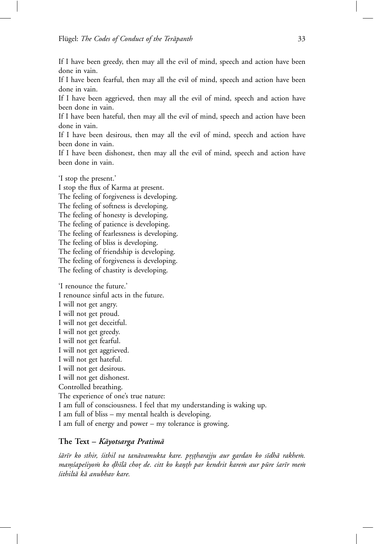If I have been greedy, then may all the evil of mind, speech and action have been done in vain.

If I have been fearful, then may all the evil of mind, speech and action have been done in vain.

If I have been aggrieved, then may all the evil of mind, speech and action have been done in vain.

If I have been hateful, then may all the evil of mind, speech and action have been done in vain.

If I have been desirous, then may all the evil of mind, speech and action have been done in vain.

If I have been dishonest, then may all the evil of mind, speech and action have been done in vain.

'I stop the present.'

I stop the flux of Karma at present. The feeling of forgiveness is developing. The feeling of softness is developing. The feeling of honesty is developing. The feeling of patience is developing. The feeling of fearlessness is developing. The feeling of bliss is developing. The feeling of friendship is developing. The feeling of forgiveness is developing. The feeling of chastity is developing.

'I renounce the future.' I renounce sinful acts in the future. I will not get angry. I will not get proud. I will not get deceitful. I will not get greedy. I will not get fearful. I will not get aggrieved. I will not get hateful. I will not get desirous. I will not get dishonest. Controlled breathing. The experience of one's true nature: I am full of consciousness. I feel that my understanding is waking up. I am full of bliss – my mental health is developing. I am full of energy and power – my tolerance is growing.

# **The Text –** *K¯ayotsarga Pratim¯a*

*šārīr ko sthir, šithil va tanāvamukta kare. prstharajju aur gardan ko sīdhā rakhem. mam´sape'siyom ko dhīlā chor de. citt ko kanth par kendrit karem aur pūre 'sarīr mem ´sithilt¯a k¯a anubhav kare.*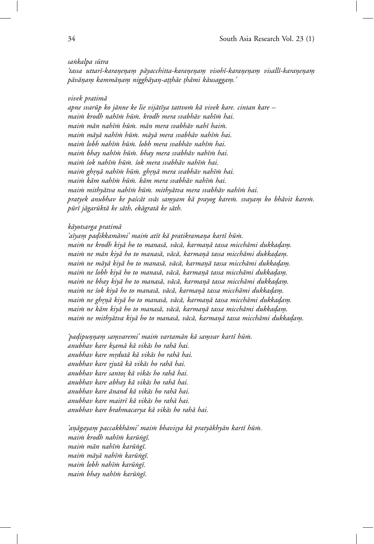#### *sa˙nkalpa s¯utra*

*'tassa uttar¯ı-karane*º *na*º *m p¯* º *ayacchitta-karane*º *na*º *m visoh¯* º *ı-karane*º *na*º *m visall¯* º *ı-karane*º *na*º *m*º *p¯av¯ana*º *m kamm¯* º *ana*º *m niggh¯* º *ayan-a* º º*t*º*th¯ae* º*th¯ami k¯ausaggam.'* º

#### *vivek pratim¯a*

*apne svar¯up ko j¯anne ke lie vij¯at¯ıya tattvo ˙m k¯a vivek kare. cintan kare – mai ˙m krodh nah¯ı ˙m h¯u ˙m. krodh mera svabh¯av nah¯ı ˙m hai. mai ˙m m¯an nah¯ı ˙m h¯u ˙m. m¯an mera svabh¯av nah¯ı hai ˙m. mai ˙m m¯ay¯a nah¯ı ˙m h¯u ˙m. m¯ay¯a mera svabh¯av nah¯ı ˙m hai. mai ˙m lobh nah¯ı ˙m h¯u ˙m. lobh mera svabh¯av nah¯ı ˙m hai. mai ˙m bhay nah¯ı ˙m h¯u ˙m. bhay mera svabh¯av nah¯ı ˙m hai. mai ˙m ´sok nah¯ı ˙m h¯u ˙m. ´sok mera svabh¯av nah¯ı ˙m hai. mai ˙m ghr*º*n¯*º*a nah¯ı ˙m h¯u ˙m. ghr*º*n¯*º*a mera svabh¯av nah¯ı ˙m hai. mai ˙m k¯am nah¯ı ˙m h¯u ˙m. k¯am mera svabh¯av nah¯ı ˙m hai. mai ˙m mithy¯atva nah¯ı ˙m h¯u ˙m. mithy¯atva mera svabh¯av nah¯ı ˙m hai. pratyek anubhav ke pa´sc¯at sv¯as samyam k¯* º *a prayog kare ˙m. svayam ko bh¯* º *avit kare ˙m. p¯ur¯ı j¯agar¯ukt¯a ke s¯ath, ek¯agrat¯a ke s¯ath.*

#### *k¯ayotsarga pratim¯a*

*'a¯ıyam pa* º *dikkam¯* º *ami' mai ˙m at¯ıt k¯a pratikramana kart¯* º *ı h¯u ˙m. maim ne krodh kiyā ho to manasā, vācā, karmaņā tassa micchāmi dukkadam. maim ne mān kiyā ho to manasā, vācā, karmanā tassa micchāmi dukkadam. maim ne māyā kiyā ho to manasā, vācā, karmaņā tassa micchāmi dukkadam. maim ne lobh kiyā ho to manasā, vācā, karmaņā tassa micchāmi dukkadam. maim ne bhay kiyā ho to manasā, vācā, karmaņā tassa micchāmi dukkadam. maim ne śok kiyā ho to manasā, vācā, karmaņā tassa micchāmi dukkadam. maim ne ghrnā kiyā ho to manasā, vācā, karmaņā tassa micchāmi dukkadam. maim ne kām kiyā ho to manasā, vācā, karmaņā tassa micchāmi dukkadam. maim ne mithyātva kiyā ho to manasā, vācā, karmaņā tassa micchāmi dukkadam.* 

*'padipu* º *n*º*na*º *m sa* º *mvaremi' mai ˙* º *m vartam¯an k¯a samvar kart¯* º *ı h¯u ˙m. anubhav kare k*º*sam¯a k¯a vik¯as ho rah¯a hai. anubhav kare mrdut¯* º *a k¯a vik¯as ho rah¯a hai. anubhav kare rjut¯* º *a k¯a vik¯as ho rah¯a hai. anubhav kare santo*º*s k¯a vik¯as ho rah¯a hai. anubhav kare abhay k¯a vik¯as ho rah¯a hai. anubhav kare ¯anand k¯a vik¯as ho rah¯a hai. anubhav kare maitr¯ı k¯a vik¯as ho rah¯a hai. anubhav kare brahmacarya k¯a vik¯as ho rah¯a hai.*

*'an¯*º*agayam paccakkh¯* º *ami' mai ˙m bhavi*º*sya k¯a praty¯akhy¯an kart¯ı h¯u ˙m. mai ˙m krodh nah¯ı ˙m kar¯u˙ng¯ı. mai ˙m m¯an nah¯ı ˙m kar¯u˙ng¯ı. mai ˙m m¯ay¯a nah¯ı ˙m kar¯u˙ng¯ı. mai ˙m lobh nah¯ı ˙m kar¯u˙ng¯ı. mai ˙m bhay nah¯ı ˙m kar¯u˙ng¯ı.*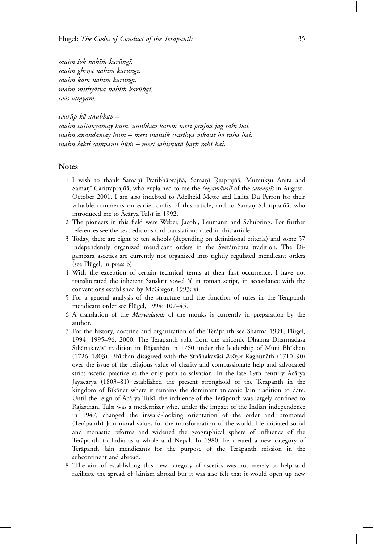*mai ˙m ´sok nah¯ı ˙m kar¯u˙ng¯ı. mai ˙m ghr*º*n¯*º*a nah¯ı ˙m kar¯u˙ng¯ı. mai ˙m k¯am nah¯ı ˙m kar¯u˙ng¯ı. mai ˙m mithy¯atva nah¯ı ˙m kar¯u˙ng¯ı. sv¯as samyam.* º

*svar¯up k¯a anubhav – maim caitanyamay hūm. anubhav karem merī prajñā jāg rahī hai.* maim ānandamay hūm – merī mānsik svāsthya vikasit ho rahā hai. *mai ˙m ´sakti sampann h¯u ˙m – mer¯ı sahi*º*snut¯* º *a barh rah¯* º *ı hai.*

### **Notes**

- 1 I wish to thank Samanī Pratibhāprajñā, Samanī Rjuprajñā, Mumukṣu Anita and Samanī Caritraprajñā, who explained to me the *Niyamāvalī* of the *saman/īs* in August– October 2001. I am also indebted to Adelheid Mette and Lalita Du Perron for their valuable comments on earlier drafts of this article, and to Saman Sthitiprajñā, who introduced me to Ācārya Tulsī in 1992.
- 2 The pioneers in this field were Weber, Jacobi, Leumann and Schubring. For further references see the text editions and translations cited in this article.
- 3 Today, there are eight to ten schools (depending on definitional criteria) and some 57 independently organized mendicant orders in the Svetambara tradition. The Digambara ascetics are currently not organized into tightly regulated mendicant orders  $(see Flügel, in press b).$
- 4 With the exception of certain technical terms at their first occurrence, I have not transliterated the inherent Sanskrit vowel 'a' in roman script, in accordance with the conventions established by McGregor, 1993: xi.
- 5 For a general analysis of the structure and the function of rules in the Terapanth mendicant order see Flügel, 1994: 107-45.
- 6 A translation of the *Maryādāvalī* of the monks is currently in preparation by the author.
- 7 For the history, doctrine and organization of the Terāpanth see Sharma 1991, Flügel, 1994, 1995–96, 2000. The Terāpanth split from the aniconic Dhannā Dharmadāsa Sthānakavāsī tradition in Rājasthān in 1760 under the leadership of Muni Bhīkhan (1726–1803). Bhīkhan disagreed with the Sthānakavāsī *ācārya* Raghunāth (1710–90) over the issue of the religious value of charity and compassionate help and advocated strict ascetic practice as the only path to salvation. In the late 19th century Acarya Jayācārya (1803–81) established the present stronghold of the Terāpanth in the kingdom of Bīkāner where it remains the dominant aniconic Jain tradition to date. Until the reign of Ācārya Tulsī, the influence of the Terāpanth was largely confined to Rājasthān. Tulsī was a modernizer who, under the impact of the Indian independence in 1947, changed the inward-looking orientation of the order and promoted (Terāpanth) Jain moral values for the transformation of the world. He initiated social and monastic reforms and widened the geographical sphere of influence of the Terāpanth to India as a whole and Nepal. In 1980, he created a new category of Terāpanth Jain mendicants for the purpose of the Terāpanth mission in the subcontinent and abroad.
- 8 'The aim of establishing this new category of ascetics was not merely to help and facilitate the spread of Jainism abroad but it was also felt that it would open up new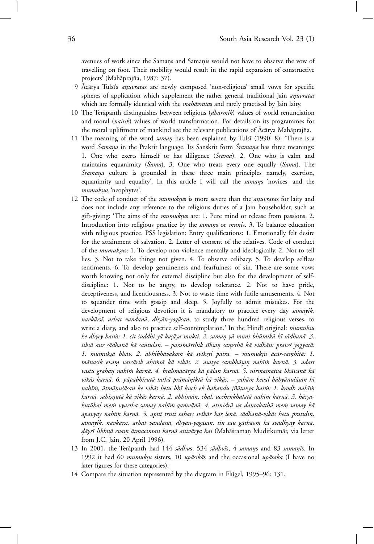avenues of work since the Samans and Samanis would not have to observe the vow of travelling on foot. Their mobility would result in the rapid expansion of constructive projects' (Mahāprajña, 1987: 37).

- 9 Acarya Tulsī's *anuvrata*s are newly composed 'non-religious' small vows for specific spheres of application which supplement the rather general traditional Jain *anuvratas* º which are formally identical with the *mahāvrata*s and rarely practised by Jain laity.
- 10 The Terāpanth distinguishes between religious (dharmik) values of world renunciation and moral (*naitik*) values of world transformation. For details on its programmes for the moral upliftment of mankind see the relevant publications of Ācārya Mahāprajña.
- 11 The meaning of the word *saman* has been explained by Tulsī (1990: 8): 'There is a word *Samana* in the Prakrit language. Its Sanskrit form *Sramana* has three meanings: 1. One who exerts himself or has diligence (*Srama*). 2. One who is calm and maintains equanimity (*Sama*). 3. One who treats every one equally (*Sama*). The *Sramana* culture is grounded in these three main principles namely, exertion, equanimity and equality'. In this article I will call the *samans* 'novices' and the *mumuk*º*su*s 'neophytes'.
- 12 The code of conduct of the *mumuksus* is more severe than the *anuvratas* for laity and does not include any reference to the religious duties of a Jain householder, such as gift-giving: 'The aims of the *mumuk yus* are: 1. Pure mind or release from passions. 2. Introduction into religious practice by the *samans* or *munis*. 3. To balance education with religious practice. PSS legislation: Entry qualifications: 1. Emotionally felt desire for the attainment of salvation. 2. Letter of consent of the relatives. Code of conduct of the *mumuksus*: 1. To develop non-violence mentally and ideologically. 2. Not to tell lies. 3. Not to take things not given. 4. To observe celibacy. 5. To develop selfless sentiments. 6. To develop genuineness and fearfulness of sin. There are some vows worth knowing not only for external discipline but also for the development of selfdiscipline: 1. Not to be angry, to develop tolerance. 2. Not to have pride, deceptiveness, and licentiousness. 3. Not to waste time with futile amusements. 4. Not to squander time with gossip and sleep. 5. Joyfully to admit mistakes. For the development of religious devotion it is mandatory to practice every day *sāmāyik*, *navkārsī, arhat vandanā, dhyān-yogāsan*, to study three hundred religious verses, to write a diary, and also to practice self-contemplation.' In the Hindī original: *mumuksu ke dhyey hai ˙m: 1. cit ´suddhi y¯a ka*º*s¯aya mukti. 2. saman y¯* º *a muni bh¯umik¯a k¯ı s¯adhan¯a. 3. ´sik*º*s¯a aur s¯adhan¯a k¯a santulan. – param¯arthik ´s¯ık*º*san sa* º *msth¯* º *a k¯a vidh¯an: prave´s yogyat¯a:* 1. mumukṣā bhāv. 2. abhibhāvakom kā svīkrti patra. – mumukṣu ācār-samhitā: 1. *m¯anasik evam vaic¯* º *arik ahi ˙ms¯a k¯a vik¯as. 2. asatya sambh¯a*º*san nah¯* º *ı ˙m karn¯a. 3. adatt* vastu grahan nahīm karnā. 4. brahmacārya kā pālan karnā. 5. nirmamatva bhāvanā kā vikās karnā. 6. pāpabhīrutā tathā prāmāniktā kā vikās. – yahām keval bāhyānuśāsan hī nahīm, ātmānuśāsan ke vikās hetu bhī kuch ek habandu jñātavya haim: 1. krodh nahīm *karn¯a, sahi*º*snut¯* º *a k¯a vik¯as karn¯a. 2. abhim¯an, chal, ucchr˙*º*nkhalat¯a nah¯ı ˙m karn¯a. 3. h¯asya*kutūhal mem vyartha samay nahīm gamvānā. 4. atinidrā va dantakathā mem samay kā *apavyay nah¯ı ˙m karn¯a. 5. apn¯ı tru*º*ti sahar*º*s sv¯ık¯ar kar len¯a. s¯adhan¯a-vik¯as hetu pratidin,* sāmāyik, navkārsī, arhat vandanā, dhyān-yogāsan, tin sau gāthāom kā svādhyāy karnā, dāyrī likhnā evam ātmacintan karnā anivārya hai (Mahāśraman Muditkumār, via letter from J.C. Jain, 20 April 1996).
- 13 In 2001, the Terāpanth had 144 *sādhus*, 534 *sādhvīs*, 4 *samans* and 83 *samanīs*. In 1992 it had 60 *mumukṣu* sisters, 10 *upāsikās* and the occasional upāsaka (I have no later figures for these categories).
- 14 Compare the situation represented by the diagram in Flügel, 1995–96: 131.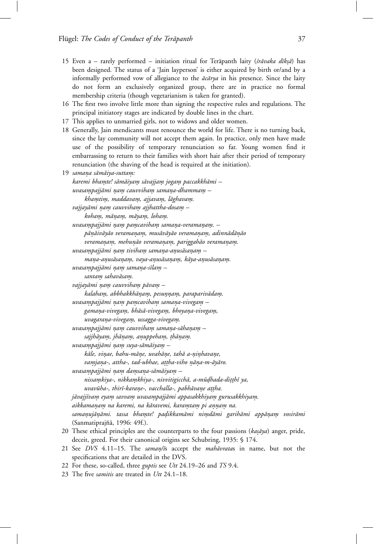- 15 Even a rarely performed initiation ritual for Terapanth laity (śrāvaka dīkṣā) has been designed. The status of a 'Jain layperson' is either acquired by birth or/and by a informally performed vow of allegiance to the  $\bar{a}c\bar{a}rya$  in his presence. Since the laity do not form an exclusively organized group, there are in practice no formal membership criteria (though vegetarianism is taken for granted).
- 16 The first two involve little more than signing the respective rules and regulations. The principal initiatory stages are indicated by double lines in the chart.
- 17 This applies to unmarried girls, not to widows and older women.
- 18 Generally, Jain mendicants must renounce the world for life. There is no turning back, since the lay community will not accept them again. In practice, only men have made use of the possibility of temporary renunciation so far. Young women find it embarrassing to return to their families with short hair after their period of temporary renunciation (the shaving of the head is required at the initiation).
- 19 samana sāmāiya-suttam: *karemi bhamte! s¯* º *am¯aiyam s¯* º *avajjam joga* º *m paccakkh¯* º *ami – uvasampajj¯* º *ami na*º *m cauvviha* º *m sama* º *na-dhamma* º *m –* º  $k$ *hamtim, maddavam, ajjavam, lāghavam. vajjayāmi nam cauvviham ajjhattha-dosam* – *koham, m¯* º *ana*º *m, m¯* º *ayam, loha* º *m.* º *uvasampajjāmi nam pamcaviham samana-veramanam.* – *p¯an¯*º*aiv¯ay¯ao veramana*º *m, mus¯* º *av¯ay¯ao veramana*º *m, adinn¯* º *ad¯an¯*º*ao veramana*º *m, mehu* º *n¯*º*ao veramana*º *m, pariggah¯* º *ao veramana*º *m.* º *uvasampajj¯* º *ami na*º *m tiviha* º *m sama* º *na-a* º *nus¯* º *asana*º *m –* º *mana-a* º *nus¯* º *asana*º *m, vaya-a* º *nus¯* º *asana*º *m, k¯* º *aya-anus¯* º *asana*º *m.* º *uvasampajj¯* º *ami na*º *m sama* º *na-s¯* º *ılam –* º  $s$ antam sahavāsam.  $v$ *ajjayāmi nam cauvviham pāvam –*  $k$ alaham, abbhakkhānam, pesunnam, paraparivādam. *uvasampajj¯* º *ami na*º *m pa* º *mcaviha* º *m sama* º *na-vivega* º *m –* º gamana-vivegam, bhāsā-vivegam, bhoyana-vivegam, *uvagarana-vivega* º *m, ussagga-vivega* º *m.* º *uvasampajj¯* º *ami na*º *m cauvviha* º *m sama* º *na-s¯* º *ahana*º *m –* º *sajjh¯ayam, jh¯* º *ana*º *m, a* º *nuppeha* º *m,* º º*th¯ana*º *m.* º *uvasampajj¯* º *ami na*º *m suya-s¯* º *am¯aiyam –* º *k¯ale, vinae, bahu-m¯* º *ane, uvah¯* º *ane, tah¯* º *a a-ni*º *nhava* º *ne,* º *vamjana-, attha-, tad-ubhae, attha-viho nāna-m-āyāro. uvasampajj¯* º *ami na*º *m da* º *msa* º *na-s¯* º *am¯aiyam –* º *nissamkiya-, nikka* º *mkhiya-, nivvitigicch¯* º *a, a-m¯udhada-di* º º*t*º*th¯ı ya, uvavūha-, thirī-karane-, vacchalla-, pabhāvane attha.* jāvajjīvam eyam savvam uvasampajjāmi appasakkhiyam gurusakkhiyam. *aikkamana*º *m na karemi, na k¯* º *aravemi, karamta* º *m pi a* º *n*º*na*º *m na.* º *samanuj¯* º *an¯*º*ami. tassa bhamte! pa* º *dikkam¯* º *ami nimd¯* º *ami garih¯ami app¯ana*º *m vosir¯* º *ami* (Sanmatiprajñā, 1996: 49f.).
- 20 These ethical principles are the counterparts to the four passions (kasaya) anger, pride, deceit, greed. For their canonical origins see Schubring, 1935: § 174.
- 21 See DVS 4.11-15. The *saman/i*s accept the *mahāvrata*s in name, but not the specifications that are detailed in the DVS.
- 22 For these, so-called, three *guptis* see *Utt* 24.19–26 and *TS* 9.4.
- 23 The five *samitis* are treated in *Utt* 24.1–18.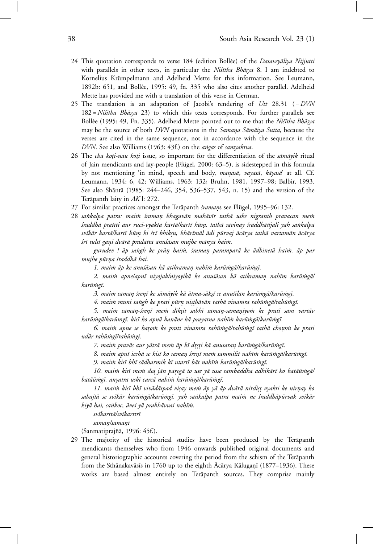- 24 This quotation corresponds to verse 184 (edition Bollée) of the *Dasaveyāliya Nijjutti* with parallels in other texts, in particular the *Nistha Bhasya* 8. I am indebted to Kornelius Krümpelmann and Adelheid Mette for this information. See Leumann, 1892b: 651, and Bollée, 1995: 49, fn. 335 who also cites another parallel. Adelheid Mette has provided me with a translation of this verse in German.
- 25 The translation is an adaptation of Jacobi's rendering of *Utt* 28.31 ( = *DVN* 182 = *Niśītha Bhāsya* 23) to which this texts corresponds. For further parallels see Bollée (1995: 49, Fn. 335). Adelheid Mette pointed out to me that the *Niśītha Bhāsya* may be the source of both *DVN* quotations in the *Samana Sāmāiya Sutta*, because the verses are cited in the same sequence, not in accordance with the sequence in the *DVN*. See also Williams (1963: 43f.) on the *a˙ngas* of *samyaktva*.
- 26 The *cha koti-nau koti* issue, so important for the differentiation of the *sāmāyik* ritual of Jain mendicants and lay-people (Flügel, 2000:  $(63-5)$ , is sidestepped in this formula by not mentioning 'in mind, speech and body, *manasā, vayasā, kāyasā* at all. Cf. Leumann, 1934: 6, 42; Williams, 1963: 132; Bruhn, 1981, 1997–98; Balbir, 1993. See also Shāntā (1985: 244–246, 354, 536–537, 543, n. 15) and the version of the Terāpanth laity in AK l: 272.
- 27 For similar practices amongst the Terāpanth *śramans see Flügel*, 1995–96: 132.
- 28 sankalpa patra: maim śraman bhagavān mahāvīr tathā uske nigranth pravacan mem *´sraddh¯a prat¯ıti aur ruci-vyakta kart¯a/kart¯ı h¯um. tath¯* º *a savinay ´sraddh¯a˜njali yah sa˙nkalpa sv¯ık¯ar kart¯a/kart¯ı h¯um ki ´* º *sr¯ı bhik*º*su, bh¯ar¯ım¯al ¯adi p¯urvaj ¯ac¯arya tath¯a vartam¯an ¯ac¯arya*  $s$ rī tulsī gani dvārā pradatta anuśāsan mujhe mānya haim.

*gurudev ! ¯ap sa˙ngh ke pr¯an hai ˙* º *m, ´sraman parampar¯* º *a ke ¯adhinet¯a hai ˙m. ¯ap par mujhe p¯urna ´* º *sraddh¯a hai.*

1. maim āp ke anuśāsan kā atikraman nahīm karūmgā/karūmgī.

2. maim apnelapnī niyojak/niyoyikā ke anuśāsan kā atikraman nahīm karūmgā/ *kar¯u ˙mg¯ı.*

3. maim saman śrení ke sāmāyik kā ātma-sākṣí se anuśīlan karūmgā/karūmgī.

4. maim muni sangh ke prati pūrn nisthāvān tathā vinamra rahūmgā/rahūmgī.

*5. mai ˙m saman-´* º *sren¯*º*ı me ˙m d¯ık*º*sit sabh¯ı saman-sama* º *niyo ˙* º *m ke prati sam vart¯av* karūmgā/karūmgī. kisī ko apnā banāne kā prayatna nahīm karūmgā/karūmgī.

*6. mai ˙m apne se baro ˙* º *m ke prati vinamra rah¯u ˙mg¯a/rah¯u ˙mg¯ı tath¯a cho*º*to ˙m ke prati ud¯ar rah¯u ˙mg¯ı/rah¯u ˙mg´ı.*

7. maim pravās aur yātrā mem āp kī drsti kā anusaran karūmgá/karūmgī.

8. maim apnī icchā se kisī ko saman śrenī mem sammilit nahīm karūmgā/karūmgī.

9. maim kisī bhī sādharmik kī utartī bāt nahīm karūmgā/karūmgī.

10. maim kisī mem dos jān paregā to use yā usse sambaddha adhikārī ko batāūmgā/ batāūmgī. anyatra uskī carcā nahim karūmgā/karūmgī.

*11. mai ˙m kis¯ı bh¯ı viv¯ad¯aspad vi*º*say me ˙m ¯ap y¯a ¯ap dv¯ar¯a nirdi*º*s*º*t vyakti ke nirnay ko* º sahajtā se svīkār karūmgā/karūmgī. yah sankalpa patra maim ne śraddhāpūrvak svīkār kiyā hai, sankoc, āveś yā prabhāvvaś nahīm.

*sv¯ıkartt¯a/sv¯ıkarttr¯ı*

 $saman/saman\bar{i}$ 

(Sanmatiprajñā, 1996: 45f.).

29 The majority of the historical studies have been produced by the Terāpanth mendicants themselves who from 1946 onwards published original documents and general historiographic accounts covering the period from the schism of the Terāpanth from the Sthānakavāsīs in 1760 up to the eighth Ācārya Kāluganī (1877–1936). These works are based almost entirely on Terāpanth sources. They comprise mainly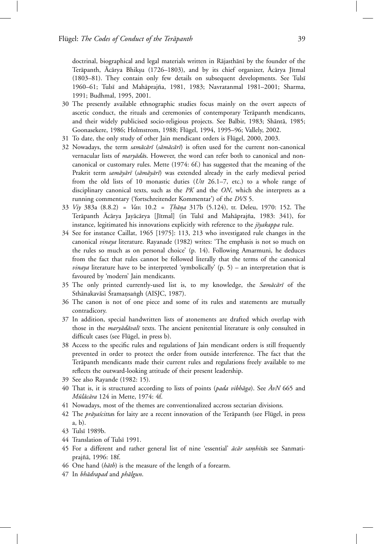doctrinal, biographical and legal materials written in Rājasthānī by the founder of the Terāpanth, Ācārya Bhiksu (1726–1803), and by its chief organizer, Ācārya Jītmal (1803–81). They contain only few details on subsequent developments. See Tulsī 1960–61; Tulsī and Mahāprajña, 1981, 1983; Navratanmal 1981–2001; Sharma, 1991; Budhmal, 1995, 2001.

- 30 The presently available ethnographic studies focus mainly on the overt aspects of ascetic conduct, the rituals and ceremonies of contemporary Terapanth mendicants, and their widely publicised socio-religious projects. See Balbir, 1983; Shāntā, 1985; Goonasekere, 1986; Holmstrom, 1988; Flügel, 1994, 1995–96; Vallely, 2002.
- 31 To date, the only study of other Jain mendicant orders is Flügel, 2000, 2003.
- 32 Nowadays, the term *samācārī* (sāmācārī) is often used for the current non-canonical vernacular lists of *maryādās*. However, the word can refer both to canonical and noncanonical or customary rules. Mette (1974: 6f.) has suggested that the meaning of the Prakrit term *samāyārī* (sāmāyārī) was extended already in the early medieval period from the old lists of 10 monastic duties (*Utt* 26.1–7, etc.) to a whole range of disciplinary canonical texts, such as the *PK* and the *ON*, which she interprets as a running commentary ('fortschreitender Kommentar') of the *DVS* 5.
- 33 *Viy* 383a (8.8.2) = *Vav*. 10.2 = *Th¯* º *ana*º 317b (5.124), tr. Deleu, 1970: 152. The Terāpanth Ācārya Jayācārya [Jītmal] (in Tulsī and Mahāprajña, 1983: 341), for instance, legitimated his innovations explicitly with reference to the *jīyakappa* rule.
- 34 See for instance Caillat, 1965 [1975]: 113, 213 who investigated rule changes in the canonical *vinaya* literature. Rayanade (1982) writes: 'The emphasis is not so much on the rules so much as on personal choice' (p. 14). Following Amarmuni, he deduces from the fact that rules cannot be followed literally that the terms of the canonical *vinaya* literature have to be interpreted 'symbolically' (p. 5) – an interpretation that is favoured by 'modern' Jain mendicants.
- 35 The only printed currently-used list is, to my knowledge, the *Samācārī* of the Sthānakavāsī Śramansaṅgh (AISJC, 1987).
- 36 The canon is not of one piece and some of its rules and statements are mutually contradicory.
- 37 In addition, special handwritten lists of atonements are drafted which overlap with those in the *maryādāvalī* texts. The ancient penitential literature is only consulted in difficult cases (see Flügel, in press b).
- 38 Access to the specific rules and regulations of Jain mendicant orders is still frequently prevented in order to protect the order from outside interference. The fact that the Terāpanth mendicants made their current rules and regulations freely available to me reflects the outward-looking attitude of their present leadership.
- 39 See also Rayande (1982: 15).
- 40 That is, it is structured according to lists of points (*pada vibhāga*). See  $\overline{A}vN$  665 and *Mūlācāra* 124 in Mette, 1974: 4f.
- 41 Nowadays, most of the themes are conventionalized accross sectarian divisions.
- 42 The *prāyaścittas* for laity are a recent innovation of the Terāpanth (see Flügel, in press a, b).
- 43 Tuls¯ı 1989b.
- 44 Translation of Tulsī 1991.
- 45 For a different and rather general list of nine 'essential'  $\vec{a}c\vec{a}r$  *samhitās* see Sanmatiprajñā, 1996: 18f.
- 46 One hand (*hāth*) is the measure of the length of a forearm.
- 47 In *bhādrapad* and *phālgun*.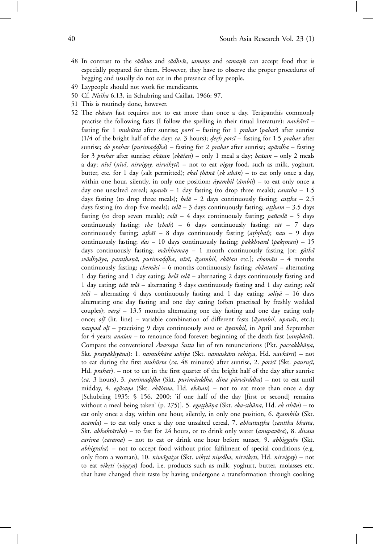- 48 In contrast to the *sādhus* and *sādhvīs*, *samans* and *samanīs* can accept food that is especially prepared for them. However, they have to observe the proper procedures of begging and usually do not eat in the presence of lay people.
- 49 Laypeople should not work for mendicants.
- 50 Cf. *Nisīha* 6.13, in Schubring and Caillat, 1966: 97.
- 51 This is routinely done, however.
- 52 The *ekāsan* fast requires not to eat more than once a day. Terāpanthīs commonly practise the following fasts (I follow the spelling in their ritual literature): *navkārsī* – fasting for 1 *muhūrta* after sunrise; *porsī* – fasting for 1 *prahar* (*pahar*) after sunrise (1/4 of the bright half of the day: *ca*. 3 hours); *derh porsī* – fasting for 1.5 *prahar* after sunrise; *do prahar* (*purimaddha*) – fasting for 2 *prahar* after sunrise; *apārdha* – fasting for 3 *prahar* after sunrise; *ekāsan* (*ekāśan*) – only 1 meal a day; beāsan – only 2 meals a day; *nīvī* (*nīvī*, *nirvigay*, *nirvikrti*) – not to eat *vigay* food, such as milk, yoghurt, butter, etc. for 1 day (salt permitted); *ekal thānā* (*ek sthān*) – to eat only once a day, within one hour, silently, in only one position;  $\vec{a}$  *ambil*  $(\vec{a}$ *mbil*) – to eat only once a day one unsalted cereal;  $upav\bar{a}$  – 1 day fasting (to drop three meals); *cauttha* – 1.5 days fasting (to drop three meals);  $\text{belā} - 2$  days continuously fasting; *cattha* – 2.5 days fasting (to drop five meals);  $tel\bar{a} - 3$  days continuously fasting;  $at\bar{a}$ *tham* – 3.5 days fasting (to drop seven meals);  $\text{col}\bar{a} - 4$  days continuously fasting;  $\text{parcol}\bar{a} - 5$  days continuously fasting; *che* (*chah*) – 6 days continuously fasting;  $s\bar{a}t$  – 7 days continuously fasting; *athāī* – 8 days continuously fasting (*aththaī*); *nau* – 9 days continuously fasting; *das* – 10 days continuously fasting; *pakkhvard* (*paksman*) – 15 days continuously fasting; *māskhaman* – 1 month continuously fasting [or: *gāthā sv¯adhy¯aya*, *para*º*than¯*º*a*, *purimad*º*dha* º , *n¯ıv¯ı*, *ayambil ¯* , *ek¯a´san* etc.]; *chom¯asi* – 4 months continuously fasting; *chemāsi* – 6 months continuously fasting; *ekāntarā* – alternating 1 day fasting and 1 day eating; *belā telā* – alternating 2 days continuously fasting and 1 day eating;  $tel\bar{a}$  *tela* – alternating 3 days continuously fasting and 1 day eating; *cola telā* – alternating 4 days continuously fasting and 1 day eating; *soliyā* – 16 days alternating one day fasting and one day eating (often practised by freshly wedded couples);  $vars\ = 13.5$  months alternating one day fasting and one day eating only once; *ol* $\bar{i}$  (lit. line) – variable combination of different fasts ( $\bar{a}$ *yambil*, *upav* $\bar{a}$ *s*, etc.); *naupad olī* – practising 9 days continuously *nivi* or *āyambil*, in April and September for 4 years; *anasan* – to renounce food forever: beginning of the death fast (*santhārā*). Compare the conventional *Avassaya Sutta* list of ten renunciations (Pkt. *paccakkhāna*, Skt. *pratyākhyāna*): 1. *namukkāra sahiya* (Skt. *namaskāra sahitya*, Hd. *navkārsī*) – not to eat during the first *muhūrta* (*ca.* 48 minutes) after sunrise, 2. *porisī* (Skt. *paurusī*, Hd. *prahar*). – not to eat in the first quarter of the bright half of the day after sunrise (ca. 3 hours), 3. *purimaddha* (Skt. *purimārddha*, *dina pūrvārddha*) – not to eat until midday, 4. *egāsana* (Skt. *ekāšana*, Hd. *ekāsan*) – not to eat more than once a day [Schubring 1935: § 156, 2000: 'if one half of the day [first or second] remains without a meal being taken' (p. 275)], 5. *egatthāna* (Skt. *eka-sthāna*, Hd. *ek sthān*) – to eat only once a day, within one hour, silently, in only one position, 6.  $\vec{a}$  *ayambila* (Skt.  $\bar{a}c\bar{a}mla$ ) – to eat only once a day one unsalted cereal, 7. *abhattattha* (*cauttha bhatta*, Skt. *abhaktārtha*) – to fast for 24 hours, or to drink only water (*anupavāsa*), 8. *divasa carima* (*carama*) – not to eat or drink one hour before sunset, 9. *abhiggaho* (Skt. *abhigraha*) – not to accept food without prior falfilment of special conditions (e.g. only from a woman), 10. *nivvīgaiya* (Skt. *vikrti nisedha*, *nirvikrti*, Hd. *nirvigay*) – not to eat *vikrti* (*vigaya*) food, i.e. products such as milk, yoghurt, butter, molasses etc. that have changed their taste by having undergone a transformation through cooking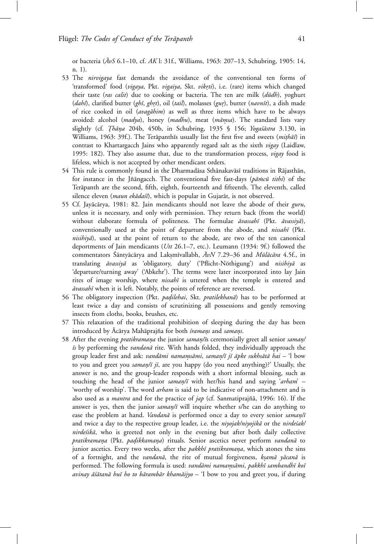or bacteria ( $AvS$  6.1–10, cf.  $AK$  l: 31f., Williams, 1963: 207–13, Schubring, 1905: 14, n. 1).

- 53 The *nirvigaya* fast demands the avoidance of the conventional ten forms of 'transformed' food (vigaya, Pkt. vigaiya, Skt. vikrti), i.e. (rare) items which changed their taste (*ras calit*) due to cooking or bacteria. The ten are milk (*dūdh*), yoghurt (*dahī*), clarified butter (*ghī*, *ghrt*), oil (*tail*), molasses (*gur*), butter (*navnīt*), a dish made of rice cooked in oil (avagāhim) as well as three items which have to be always avoided: alcohol (*madya*), honey (*madhu*), meat (*māmsa*). The standard lists vary slightly (cf. *Thāṇa* 204b, 450b, in Schubring, 1935 § 156; *Yogaśāstra* 3.130, in Williams, 1963: 39f.). The Terāpanthīs usually list the first five and sweets (*mithāī*) in contrast to Khartargacch Jains who apparently regard salt as the sixth *vigay* (Laidlaw, 1995: 182). They also assume that, due to the transformation process, *vigay* food is lifeless, which is not accepted by other mendicant orders.
- 54 This rule is commonly found in the Dharmadāsa Sthānakavāsī traditions in Rājasthān, for instance in the Jñangacch. The conventional five fast-days (*pamcū tithi*) of the Terāpanth are the second, fifth, eighth, fourteenth and fifteenth. The eleventh, called silence eleven (*maun ekādaśī*), which is popular in Gujarāt, is not observed.
- 55 Cf. Jayācārya, 1981: 82. Jain mendicants should not leave the abode of their *guru*, unless it is necessary, and only with permission. They return back (from the world) without elaborate formula of politeness. The formulae *āvassahī* (Pkt. *āvassiyā*), conventionally used at the point of departure from the abode, and *nissahī* (Pkt.  $nisihiy\bar{a}$ , used at the point of return to the abode, are two of the ten canonical deportments of Jain mendicants (*Utt* 26.1–7, etc.). Leumann (1934: 9f.) followed the commentators Sāntyācārya and Lakṣmīvallabh,  $\bar{A}vN$  7.29–36 and *Mūlācāra* 4.5f., in translating *āvassiyā* as 'obligatory, duty' ('Pflicht-Nöthigung') and *nisihiyā* as 'departure/turning away' ('Abkehr'). The terms were later incorporated into lay Jain rites of image worship, where *nissahī* is uttered when the temple is entered and  $āvassahī$  when it is left. Notably, the points of reference are reversed.
- 56 The obligatory inspection (Pkt. *padilehai*, Skt. *pratilekhanā*) has to be performed at least twice a day and consists of scrutinizing all possessions and gently removing insects from cloths, books, brushes, etc.
- 57 This relaxation of the traditional prohibition of sleeping during the day has been introduced by Ācārya Mahāprajña for both *śramans* and *samans*.
- 58 After the evening *pratikramana* the junior *saman/ī*s ceremonially greet all senior *saman/*  $\bar{z}$ s by performing the *vandanā* rite. With hands folded, they individually approach the group leader first and ask: *vandāmi namamsāmi, saman/ī jī āpke sukhsātā hai* - 'l bow to you and greet you *saman/ī jī*, are you happy (do you need anything)?' Usually, the answer is no, and the group-leader responds with a short informal blessing, such as touching the head of the junior *saman*/ $\bar{i}$  with her/his hand and saying '*arham*' – 'worthy of worship'. The word *arham* is said to be indicative of non-attachment and is also used as a *mantra* and for the practice of *jap* (cf. Sanmatiprajña, 1996: 16). If the answer is yes, then the junior *saman/ī* will inquire whether s/he can do anything to ease the problem at hand. *Vandanā* is performed once a day to every senior *saman/ī* and twice a day to the respective group leader, i.e. the *niyojak/niyojikā* or the *nirde'sak/ nirde'sikā*, who is greeted not only in the evening but after both daily collective *pratikramana* (Pkt. *padikkamana*) rituals. Senior ascetics never perform *vandanā* to junior ascetics. Every two weeks, after the *pakkhī pratikramana*, which atones the sins of a fortnight, and the *vandanā*, the rite of mutual forgiveness, *ksamā yācanā* is performed. The following formula is used: *vandāmi namamsāmi*, pakkhī sambandhī koī avinay āśātanā huī ho to bārambār khamāijyo – 'I bow to you and greet you, if during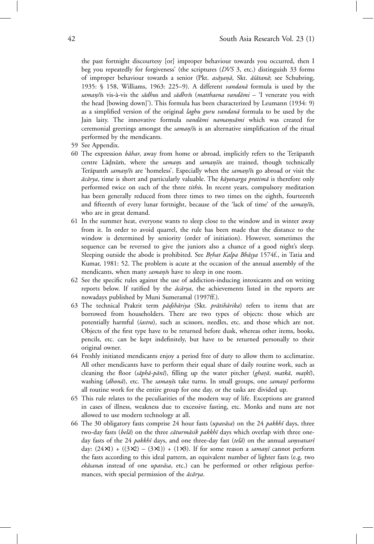the past fortnight discourtesy [or] improper behaviour towards you occurred, then I beg you repeatedly for forgiveness' (the scriptures (*DVS* 3, etc.) distinguish 33 forms of improper behaviour towards a senior (Pkt. *asāyaṇā*, Skt. *āśātanā*; see Schubring, 1935: § 158, Williams, 1963: 225-9). A different *vandanā* formula is used by the *saman/¯* º *ı*s vis-`a-vis the *s¯adhu*s and *s¯adhv¯ı*s (*matthaena vand¯ami* – 'I venerate you with the head [bowing down]'). This formula has been characterized by Leumann (1934: 9) as a simplified version of the original *laghu guru vandanā* formula to be used by the Jain laity. The innovative formula *vandāmi namamsāmi* which was created for ceremonial greetings amongst the *saman/i*s is an alternative simplification of the ritual performed by the mendicants.

- 59 See Appendix.
- 60 The expression *bāhar*, away from home or abroad, implicitly refers to the Terāpanth centre Lādnūm, where the *samans* and *samanīis* are trained, though technically Terāpanth *saman/ī*s are 'homeless'. Especially when the *saman/īs* go abroad or visit the  $\vec{ac\pi}$  *ac* $\vec{a}$  *rya*, time is short and particularly valuable. The *kayotsarga pratima* is therefore only performed twice on each of the three *tithi*s. In recent years, compulsory meditation has been generally reduced from three times to two times on the eighth, fourteenth and fifteenth of every lunar fortnight, because of the 'lack of time' of the *saman/is*, who are in great demand.
- 61 In the summer heat, everyone wants to sleep close to the window and in winter away from it. In order to avoid quarrel, the rule has been made that the distance to the window is determined by seniority (order of initiation). However, sometimes the sequence can be reversed to give the juniors also a chance of a good night's sleep. Sleeping outside the abode is prohibited. See *Brhat Kalpa Bhāsya* 1574f., in Tatia and Kumar, 1981: 52. The problem is acute at the occasion of the annual assembly of the mendicants, when many *samani*s have to sleep in one room.
- 62 See the specific rules against the use of addiction-inducing intoxicants and on writing reports below. If ratified by the  $\vec{ac} \vec{a} r y a$ , the achievements listed in the reports are nowadays published by Muni Sumeramal (1997ff.).
- 63 The technical Prakrit term *pādihāriya* (Skt. prātihārika) refers to items that are borrowed from householders. There are two types of objects: those which are potentially harmful (*´sastra*), such as scissors, needles, etc. and those which are not. Objects of the first type have to be returned before dusk, whereas other items, books, pencils, etc. can be kept indefinitely, but have to be returned personally to their original owner.
- 64 Freshly initiated mendicants enjoy a period free of duty to allow them to acclimatize. All other mendicants have to perform their equal share of daily routine work, such as cleaning the floor (sāphā-pānī), filling up the water pitcher (gharā, matkā, matkī), washing (*dhonā*), etc. The *samanīs* take turns. In small groups, one *samanī* performs all routine work for the entire group for one day, or the tasks are divided up.
- 65 This rule relates to the peculiarities of the modern way of life. Exceptions are granted in cases of illness, weakness due to excessive fasting, etc. Monks and nuns are not allowed to use modern technology at all.
- 66 The 30 obligatory fasts comprise 24 hour fasts (*upavāsa*) on the 24 *pakkhī* days, three two-day fasts (*belā*) on the three *cāturmāsik pakkhī* days which overlap with three oneday fasts of the 24 *pakkhī* days, and one three-day fast (*tela*) on the annual *samvatsarī* day:  $(24\times1) + ((3\times2) - (3\times1)) + (1\times3)$ . If for some reason a *samanī* cannot perform the fasts according to this ideal pattern, an equivalent number of lighter fasts (e.g. two *ekāsanas* instead of one *upavāsa*, etc.) can be performed or other religious performances, with special permission of the  $\bar{a}c\bar{a}rya$ .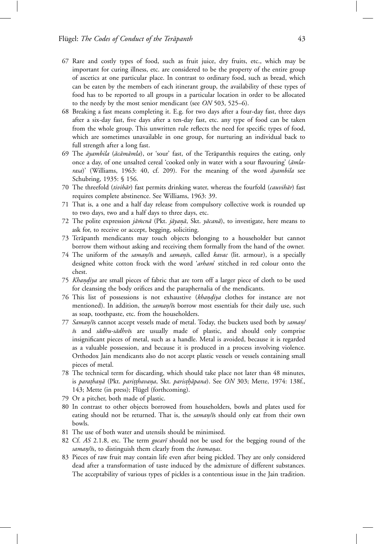- 67 Rare and costly types of food, such as fruit juice, dry fruits, etc., which may be important for curing illness, etc. are considered to be the property of the entire group of ascetics at one particular place. In contrast to ordinary food, such as bread, which can be eaten by the members of each itinerant group, the availability of these types of food has to be reported to all groups in a particular location in order to be allocated to the needy by the most senior mendicant (see *ON* 503, 525–6).
- 68 Breaking a fast means completing it. E.g. for two days after a four-day fast, three days after a six-day fast, five days after a ten-day fast, etc. any type of food can be taken from the whole group. This unwritten rule reflects the need for specific types of food, which are sometimes unavailable in one group, for nurturing an individual back to full strength after a long fast.
- 69 The *āyambila* (*ācāmāmla*), or 'sour' fast, of the Terāpanthīs requires the eating, only once a day, of one unsalted cereal 'cooked only in water with a sour flavouring' ( $\bar{a}mla$ rasa)' (Williams, 1963: 40, cf. 209). For the meaning of the word *āyambila* see Schubring, 1935: § 156.
- 70 The threefold (*tivihār*) fast permits drinking water, whereas the fourfold (*cauvihār*) fast requires complete abstinence. See Williams, 1963: 39.
- 71 That is, a one and a half day release from compulsory collective work is rounded up to two days, two and a half days to three days, etc.
- 72 The polite expression *jāmcnā* (Pkt. *jāyanā*, Skt. *yācanā*), to investigate, here means to ask for, to receive or accept, begging, soliciting.
- 73 Terāpanth mendicants may touch objects belonging to a householder but cannot borrow them without asking and receiving them formally from the hand of the owner.
- 74 The uniform of the *saman/ī*s and *samanīs*, called *kavac* (lit. armour), is a specially designed white cotton frock with the word '*arham*' stitched in red colour onto the chest.
- 75 *Khandiya* are small pieces of fabric that are torn off a larger piece of cloth to be used for cleansing the body orifices and the paraphernalia of the mendicants.
- 76 This list of possessions is not exhaustive (*khandiya* clothes for instance are not mentioned). In addition, the *saman/is* borrow most essentials for their daily use, such as soap, toothpaste, etc. from the householders.
- 77 *Saman/is* cannot accept vessels made of metal. Today, the buckets used both by saman/  $\bar{i}$ s and *sādhu-sādhvīs* are usually made of plastic, and should only comprise insignificant pieces of metal, such as a handle. Metal is avoided, because it is regarded as a valuable possession, and because it is produced in a process involving violence. Orthodox Jain mendicants also do not accept plastic vessels or vessels containing small pieces of metal.
- 78 The technical term for discarding, which should take place not later than 48 minutes, is *para*º*than¯*º*a* (Pkt. *pari*º*t*º*thavana*º , Skt. *paris*º*th¯*º*apana*). See *ON* 303; Mette, 1974: 138f., 143; Mette (in press); Flügel (forthcoming).
- 79 Or a pitcher, both made of plastic.
- 80 In contrast to other objects borrowed from householders, bowls and plates used for eating should not be returned. That is, the *saman/i*s should only eat from their own bowls.
- 81 The use of both water and utensils should be minimised.
- 82 Cf. *AS* 2.1.8, etc. The term *gocarī* should not be used for the begging round of the saman/ $\bar{i}$ s, to distinguish them clearly from the *śramanas*.
- 83 Pieces of raw fruit may contain life even after being pickled. They are only considered dead after a transformation of taste induced by the admixture of different substances. The acceptability of various types of pickles is a contentious issue in the Jain tradition.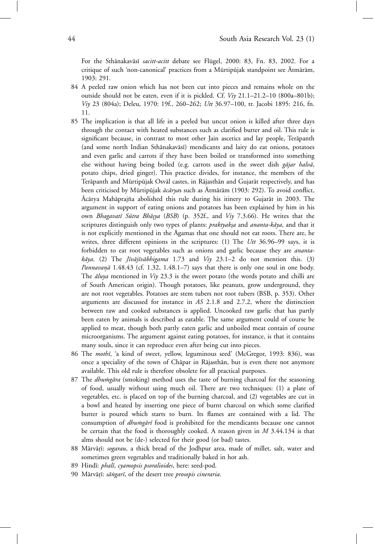For the Sthānakavāsī *sacitt-acitt* debate see Flügel, 2000: 83, Fn. 83, 2002. For a critique of such 'non-canonical' practices from a Mūrtipūjak standpoint see Ātmārām, 1903: 291.

- 84 A peeled raw onion which has not been cut into pieces and remains whole on the outside should not be eaten, even if it is pickled. Cf. *Viy* 21.1–21.2–10 (800a–801b); *Viy* 23 (804a); Deleu, 1970: 19f., 260–262; *Utt* 36.97–100, tr. Jacobi 1895: 216, fn. 11.
- 85 The implication is that all life in a peeled but uncut onion is killed after three days through the contact with heated substances such as clarified butter and oil. This rule is significant because, in contrast to most other Jain ascetics and lay people, Terāpanth (and some north Indian Sthānakavāsī) mendicants and laity do eat onions, potatoes and even garlic and carrots if they have been boiled or transformed into something else without having being boiled (e.g. carrots used in the sweet dish *gājar halvā*, potato chips, dried ginger). This practice divides, for instance, the members of the Terāpanth and Mūrtipūjak Osvāl castes, in Rājasthān and Gujarāt respectively, and has been criticised by Mūrtipūjak *ācārya*s such as Ātmārām (1903: 292). To avoid conflict, Acārya Mahāprajña abolished this rule during his itinery to Gujarāt in 2003. The argument in support of eating onions and potatoes has been explained by him in his own *Bhagavatī Sūtra Bhāsya* (*BSB*) (p. 352f., and *Viy* 7.3.66). He writes that the scriptures distinguish only two types of plants: *praktyaksa* and *ananta-kāya*, and that it is not explicitly mentioned in the Āgamas that one should not eat roots. There are, he writes, three different opinions in the scriptures: (1) The *Utt* 36.96–99 says, it is forbidden to eat root vegetables such as onions and garlic because they are *anantakāya*. (2) The *Jīvājīvābhigama* 1.73 and *Viy* 23.1–2 do not mention this. (3) *Pannavanā* 1.48.43 (cf. 1.32, 1.48.1–7) says that there is only one soul in one body. The *āluya* mentioned in *Viy* 23.3 is the sweet potato (the words potato and chilli are of South American origin). Though potatoes, like peanuts, grow underground, they are not root vegetables. Potatoes are stem tubers not root tubers (BSB, p. 353). Other arguments are discussed for instance in *AS* 2.1.8 and 2.7.2, where the distinction between raw and cooked substances is applied. Uncooked raw garlic that has partly been eaten by animals is described as eatable. The same argument could of course be applied to meat, though both partly eaten garlic and unboiled meat contain of course microorganisms. The argument against eating potatoes, for instance, is that it contains many souls, since it can reproduce even after being cut into pieces.
- 86 The *mothī*, 'a kind of sweet, yellow, leguminous seed' (McGregor, 1993: 836), was once a speciality of the town of Chapar in Rajasthan, but is even there not anymore available. This old rule is therefore obsolete for all practical purposes.
- 87 The *dhumgāra* (smoking) method uses the taste of burning charcoal for the seasoning of food, usually without using much oil. There are two techniques: (1) a plate of vegetables, etc. is placed on top of the burning charcoal, and (2) vegetables are cut in a bowl and heated by inserting one piece of burnt charcoal on which some clarified butter is poured which starts to burn. Its flames are contained with a lid. The consumption of *dhumgārī* food is prohibited for the mendicants because one cannot be certain that the food is thoroughly cooked. A reason given in *M* 3.44.134 is that alms should not be (de-) selected for their good (or bad) tastes.
- 88 Mārvārī: *sogarau*, a thick bread of the Jodhpur area, made of millet, salt, water and sometimes green vegetables and traditionally baked in hot ash.
- 89 Hindī: *phalī, cyamopsis psoralioides*, here: seed-pod.
- 90 Mārvārī: sāngarī, of the desert tree *prosopis cineraria*.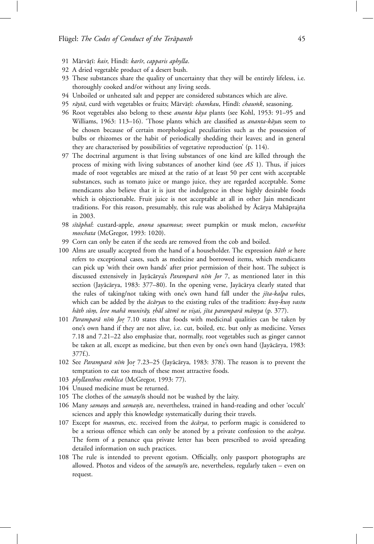- 91 Mārvārī: kair, Hindī: karīr, capparis aphylla.
- 92 A dried vegetable product of a desert bush.
- 93 These substances share the quality of uncertainty that they will be entirely lifeless, i.e. thoroughly cooked and/or without any living seeds.
- 94 Unboiled or unheated salt and pepper are considered substances which are alive.
- 95 rāytā, curd with vegetables or fruits; Mārvārī: *chamkau*, Hindī: *chaumk*, seasoning.
- 96 Root vegetables also belong to these *ananta kāya* plants (see Kohl, 1953: 91-95 and Williams, 1963: 113-16). 'Those plants which are classified as *ananta-kāya*s seem to be chosen because of certain morphological peculiarities such as the possession of bulbs or rhizomes or the habit of periodically shedding their leaves; and in general they are characterised by possibilities of vegetative reproduction' (p. 114).
- 97 The doctrinal argument is that living substances of one kind are killed through the process of mixing with living substances of another kind (see *AS* 1). Thus, if juices made of root vegetables are mixed at the ratio of at least 50 per cent with acceptable substances, such as tomato juice or mango juice, they are regarded acceptable. Some mendicants also believe that it is just the indulgence in these highly desirable foods which is objectionable. Fruit juice is not acceptable at all in other Jain mendicant traditions. For this reason, presumably, this rule was abolished by Ācārya Mahāprajña in 2003.
- 98 *s¯ıt¯aphal*: custard-apple, *anona squamosa*; sweet pumpkin or musk melon, *cucurbita moschata* (McGregor, 1993: 1020).
- 99 Corn can only be eaten if the seeds are removed from the cob and boiled.
- 100 Alms are usually accepted from the hand of a householder. The expression *hath se* here refers to exceptional cases, such as medicine and borrowed items, which mendicants can pick up 'with their own hands' after prior permission of their host. The subject is discussed extensively in Jayācārya's *Paramparā nīm Jor* 7, as mentioned later in this section (Jayācārya, 1983: 377–80). In the opening verse, Jayācārya clearly stated that the rules of taking/not taking with one's own hand fall under the *jīta-kalpa* rules, which can be added by the  $\bar{a}c\bar{a}ryas$  to the existing rules of the tradition:  $kun-kun$  vastu *hāth sūm, leve mahā munirāy, rhāl sātmī ne visai, jīta paramparā māmya* (p. 377).
- 101 *Paramparā nīm Jor* 7.10 states that foods with medicinal qualities can be taken by one's own hand if they are not alive, i.e. cut, boiled, etc. but only as medicine. Verses 7.18 and 7.21–22 also emphasize that, normally, root vegetables such as ginger cannot be taken at all, except as medicine, but then even by one's own hand (Jayācārya, 1983: 377f.).
- 102 See *Paramparā nīm* Jor 7.23–25 (Jayācārya, 1983: 378). The reason is to prevent the temptation to eat too much of these most attractive foods.
- 103 *phyllanthus emblica* (McGregor, 1993: 77).
- 104 Unused medicine must be returned.
- 105 The clothes of the *saman/is* should not be washed by the laity.
- 106 Many *samans* and *samanīs* are, nevertheless, trained in hand-reading and other 'occult' sciences and apply this knowledge systematically during their travels.
- 107 Except for *mantra*s, etc. received from the *ac¯ ¯ arya*, to perform magic is considered to be a serious offence which can only be atoned by a private confession to the *acarya*. The form of a penance qua private letter has been prescribed to avoid spreading detailed information on such practices.
- 108 The rule is intended to prevent egotism. Officially, only passport photographs are allowed. Photos and videos of the *saman/is* are, nevertheless, regularly taken – even on request.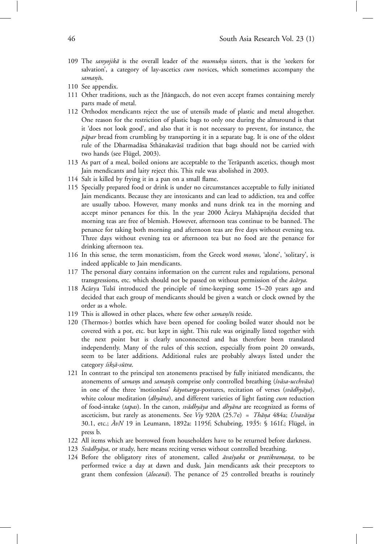- 109 The *sanyojikā* is the overall leader of the *mumuk*su sisters, that is the 'seekers for salvation', a category of lay-ascetics *cum* novices, which sometimes accompany the *saman¯*º*ı*s.
- 110 See appendix.
- 111 Other traditions, such as the Jñāngacch, do not even accept frames containing merely parts made of metal.
- 112 Orthodox mendicants reject the use of utensils made of plastic and metal altogether. One reason for the restriction of plastic bags to only one during the almsround is that it 'does not look good', and also that it is not necessary to prevent, for instance, the *pāpar* bread from crumbling by transporting it in a separate bag. It is one of the oldest rule of the Dharmadāsa Sthānakavāsī tradition that bags should not be carried with two hands (see Flügel, 2003).
- 113 As part of a meal, boiled onions are acceptable to the Terāpanth ascetics, though most Jain mendicants and laity reject this. This rule was abolished in 2003.
- 114 Salt is killed by frying it in a pan on a small flame.
- 115 Specially prepared food or drink is under no circumstances acceptable to fully initiated Jain mendicants. Because they are intoxicants and can lead to addiction, tea and coffee are usually taboo. However, many monks and nuns drink tea in the morning and accept minor penances for this. In the year 2000 Ācārya Mahāprajña decided that morning teas are free of blemish. However, afternoon teas continue to be banned. The penance for taking both morning and afternoon teas are five days without evening tea. Three days without evening tea or afternoon tea but no food are the penance for drinking afternoon tea.
- 116 In this sense, the term monasticism, from the Greek word *monos*, 'alone', 'solitary', is indeed applicable to Jain mendicants.
- 117 The personal diary contains information on the current rules and regulations, personal transgressions, etc. which should not be passed on without permission of the  $\vec{acarya}$ .
- 118 Acārya Tulsī introduced the principle of time-keeping some 15–20 years ago and decided that each group of mendicants should be given a watch or clock owned by the order as a whole.
- 119 This is allowed in other places, where few other *saman/is* reside.
- 120 (Thermos-) bottles which have been opened for cooling boiled water should not be covered with a pot, etc. but kept in sight. This rule was originally listed together with the next point but is clearly unconnected and has therefore been translated independently. Many of the rules of this section, especially from point 20 onwards, seem to be later additions. Additional rules are probably always listed under the category śiksā-sūtra.
- 121 In contrast to the principal ten atonements practised by fully initiated mendicants, the atonements of *samans* and *samanīs* comprise only controlled breathing (*śvāsa-ucchvāsa*) in one of the three 'motionless' *kāyotsarga*-postures, recitation of verses (*svādhyāya*), white colour meditation (*dhyāna*), and different varieties of light fasting *cum* reduction of food-intake (tapas). In the canon, *svādhyāya* and *dhyāna* are recognized as forms of asceticism, but rarely as atonements. See *Viy* 920A (25.7e) = *Thāṇa* 484a; *Uvavāiya*<br>2014. - <sup>7</sup> M10 i. J. 1000 - 11056 S. L. L. 1005 S. L. (S. Fl. L. L. 30.1, etc.;  $\bar{A}vN$  19 in Leumann, 1892a: 1195f; Schubring, 1935: § 161f.; Flügel, in press b.
- 122 All items which are borrowed from householders have to be returned before darkness.
- 123 *Svādhyāya*, or study, here means reciting verses without controlled breathing.
- 124 Before the obligatory rites of atonement, called *ava'syaka* or *pratikramana*, to be performed twice a day at dawn and dusk, Jain mendicants ask their preceptors to grant them confession (*ālocanā*). The penance of 25 controlled breaths is routinely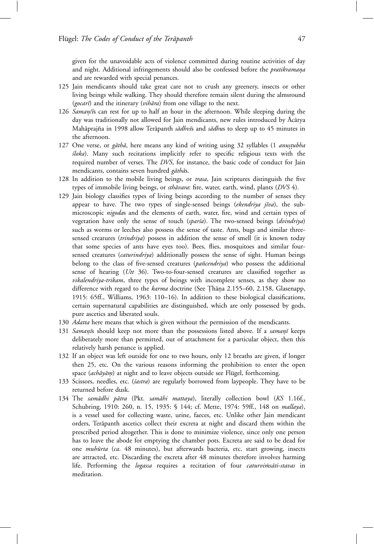given for the unavoidable acts of violence committed during routine activities of day and night. Additional infringements should also be confessed before the *pratikramana* and are rewarded with special penances.

- 125 Jain mendicants should take great care not to crush any greenery, insects or other living beings while walking. They should therefore remain silent during the almsround (*gocarī*) and the itinerary (*vihāra*) from one village to the next.
- 126 *Saman/is* can rest for up to half an hour in the afternoon. While sleeping during the day was traditionally not allowed for Jain mendicants, new rules introduced by Acarya Mahāprajña in 1998 allow Terāpanth *sādhvī*s and *sādhus* to sleep up to 45 minutes in the afternoon.
- 127 One verse, or *gāthā*, here means any kind of writing using 32 syllables (1 *anustubha ´sloka*). Many such recitations implicitly refer to specific religious texts with the required number of verses. The *DVS*, for instance, the basic code of conduct for Jain mendicants, contains seven hundred *gāthās*.
- 128 In addition to the mobile living beings, or *trasa*, Jain scriptures distinguish the five types of immobile living beings, or *sthāvara*: fire, water, earth, wind, plants (*DVS* 4).
- 129 Jain biology classifies types of living beings according to the number of senses they appear to have. The two types of single-sensed beings (*ekendriya jīva*), the submicroscopic *nigoda*s and the elements of earth, water, fire, wind and certain types of vegetation have only the sense of touch (*spar'sa*). The two-sensed beings (*dvindriya*) such as worms or leeches also possess the sense of taste. Ants, bugs and similar threesensed creatures (*trindriya*) possess in addition the sense of smell (it is known today that some species of ants have eyes too). Bees, flies, mosquitoes and similar foursensed creatures (*caturindriya*) additionally possess the sense of sight. Human beings belong to the class of five-sensed creatures (*pañcendriya*) who possess the additional sense of hearing (*Utt* 36). Two-to-four-sensed creatures are classified together as *vikalendriya-trikam*, three types of beings with incomplete senses, as they show no difference with regard to the *karma* doctrine (See Thana 2.155–60, 2.158, Glasenapp, 1915: 65ff., Williams, 1963: 110–16). In addition to these biological classifications, certain supernatural capabilities are distinguished, which are only possessed by gods, pure ascetics and liberated souls.
- 130 *Adatta* here means that which is given without the permission of the mendicants.
- 131 *Samanīs* should keep not more than the possessions listed above. If a *samanī* keeps deliberately more than permitted, out of attachment for a particular object, then this relatively harsh penance is applied.
- 132 If an object was left outside for one to two hours, only 12 breaths are given, if longer then 25, etc. On the various reasons informing the prohibition to enter the open space (*achāyām*) at night and to leave objects outside see Flügel, forthcoming.
- 133 Scissors, needles, etc. (*´sastra*) are regularly borrowed from laypeople. They have to be returned before dusk.
- 134 The samādhi pātra (Pkt. samāhi mattaya), literally collection bowl (KS 1.16f., Schubring, 1910: 260, n. 15, 1935: § 144; cf. Mette, 1974: 59ff., 148 on *mallaya*), is a vessel used for collecting waste, urine, faeces, etc. Unlike other Jain mendicant orders, Terāpanth ascetics collect their excreta at night and discard them within the prescribed period altogether. This is done to minimize violence, since only one person has to leave the abode for emptying the chamber pots. Excreta are said to be dead for one *muhūrta* (ca. 48 minutes), but afterwards bacteria, etc. start growing, insects are attracted, etc. Discarding the excreta after 48 minutes therefore involves harming life. Performing the *logassa* requires a recitation of four *caturvimsáti-stavas* in meditation.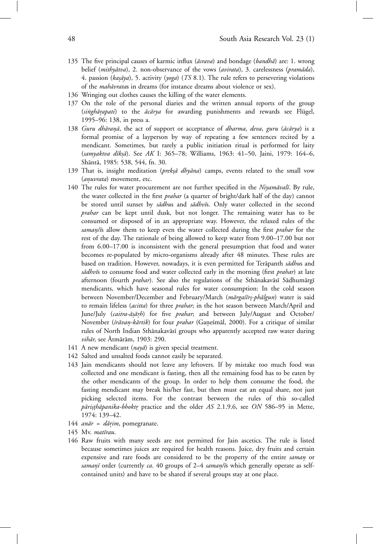- 135 The five principal causes of karmic influx (*āsrava*) and bondage (*bandhā*) are: 1. wrong belief (*mithyātva*), 2. non-observance of the vows (*avirata*), 3. carelessness (*pramāda*), 4. passion (*kasāya*), 5. activity (*yoga*) (*TS* 8.1). The rule refers to persevering violations of the *mahāvrata*s in dreams (for instance dreams about violence or sex).
- 136 Wringing out clothes causes the killing of the water elements.
- 137 On the role of the personal diaries and the written annual reports of the group (singhārapati) to the *ācārya* for awarding punishments and rewards see Flügel, 1995–96: 138, in press a.
- 138 *Guru dhāranā*, the act of support or acceptance of *dharma*, *deva*, *guru* (*ācārya*) is a formal promise of a layperson by way of repeating a few sentences recited by a mendicant. Sometimes, but rarely a public initiation ritual is performed for laity (*samyaktva d¯ık*º*s¯a*). See *AK* I: 365–78; Williams, 1963: 41–50, Jaini, 1979: 164–6, Shāntā, 1985: 538, 544, fn. 30.
- 139 That is, insight meditation (*preksā dhyāna*) camps, events related to the small vow (*anuvrata*) movement, etc.
- 140 The rules for water procurement are not further specified in the *Niyamāvalī*. By rule, the water collected in the first *prahar* (a quarter of bright/dark half of the day) cannot be stored until sunset by *sādhus* and *sādhvīs*. Only water collected in the second *prahar* can be kept until dusk, but not longer. The remaining water has to be consumed or disposed of in an appropriate way. However, the relaxed rules of the saman/is allow them to keep even the water collected during the first *prahar* for the rest of the day. The rationale of being allowed to keep water from 9.00–17.00 but not from 6.00–17.00 is inconsistent with the general presumption that food and water becomes re-populated by micro-organisms already after 48 minutes. These rules are based on tradition. However, nowadays, it is even permitted for Terapanth *sadhus* and sādhvīs to consume food and water collected early in the morning (first *prahar*) at late afternoon (fourth *prahar*). See also the regulations of the Sthānakavāsī Sādhumārgī mendicants, which have seasonal rules for water consumption: In the cold season between November/December and February/March (*mārgašīrṣ-phālgun*) water is said to remain lifeless (*acitta*) for three *prahar*; in the hot season between March/April and June/July (*caitra-āsārh*) for five *prahar*; and between July/August and October/ November (*śrāvan-kārtik*) for four *prahar* (Ganeśmāl, 2000). For a critique of similar rules of North Indian Sthānakavāsī groups who apparently accepted raw water during *vihār*, see Ātmārām, 1903: 290.
- 141 A new mendicant (*nayā*) is given special treatment.
- 142 Salted and unsalted foods cannot easily be separated.
- 143 Jain mendicants should not leave any leftovers. If by mistake too much food was collected and one mendicant is fasting, then all the remaining food has to be eaten by the other mendicants of the group. In order to help them consume the food, the fasting mendicant may break his/her fast, but then must eat an equal share, not just picking selected items. For the contrast between the rules of this so-called *pāristhāpanika-bhoktr* practice and the older *AS* 2.1.9.6, see *ON* 586-95 in Mette, 1974: 139–42.
- 144 *anār* = dārim, pomegranate.
- 145 Mv. matīrau.
- 146 Raw fruits with many seeds are not permitted for Jain ascetics. The rule is listed because sometimes juices are required for health reasons. Juice, dry fruits and certain expensive and rare foods are considered to be the property of the entire *saman* or *samanī* order (currently *ca*. 40 groups of 2–4 *saman/ī*s which generally operate as selfcontained units) and have to be shared if several groups stay at one place.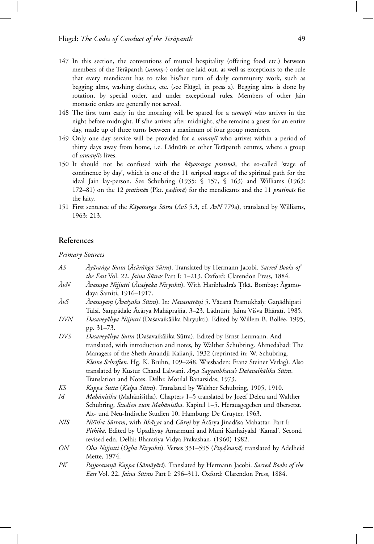- 147 In this section, the conventions of mutual hospitality (offering food etc.) between members of the Terāpanth (saman-) order are laid out, as well as exceptions to the rule that every mendicant has to take his/her turn of daily community work, such as begging alms, washing clothes, etc. (see Flügel, in press a). Begging alms is done by rotation, by special order, and under exceptional rules. Members of other Jain monastic orders are generally not served.
- 148 The first turn early in the morning will be spared for a *saman/ī* who arrives in the night before midnight. If s/he arrives after midnight, s/he remains a guest for an entire day, made up of three turns between a maximum of four group members.
- 149 Only one day service will be provided for a *saman/ī* who arrives within a period of thirty days away from home, i.e. Lādnūm or other Terāpanth centres, where a group of *saman/is* lives.
- 150 It should not be confused with the *kavotsarga pratima*, the so-called 'stage of continence by day', which is one of the 11 scripted stages of the spiritual path for the ideal Jain lay-person. See Schubring (1935: § 157, § 163) and Williams (1963: 172–81) on the 12 *pratimās* (Pkt. *padimā*) for the mendicants and the 11 *pratimās* for the laity.
- 151 First sentence of the *Kāyotsarga Sūtra* ( $\bar{A}vS$  5.3, cf.  $\bar{A}vN$  779a), translated by Williams, 1963: 213.

# **References**

*Primary Sources*

| AS          | Ayāranga Sutta (Acārānga Sūtra). Translated by Hermann Jacobi. Sacred Books of        |
|-------------|---------------------------------------------------------------------------------------|
|             | the East Vol. 22. Jaina Sūtras Part I: 1-213. Oxford: Clarendon Press, 1884.          |
| ĀvN         | <i>Āvassaya Nijjutti (Āvaśyaka Niryukti</i> ). With Haribhadra's Tīkā. Bombay: Āgamo- |
|             | daya Samiti, 1916-1917.                                                               |
| $\bar{A}vS$ | Avassayam (Avasyaka Sūtra). In: Navasuttāņi 5. Vācanā Pramukhaḥ: Gaṇādhipati          |
|             | Tulsī. Sampādak: Ācārya Mahāprajña, 3–23. Lādnūm: Jaina Viśva Bhāratī, 1985.          |
| DVN         | Dasaveyāliya Nijjutti (Daśavaikālika Niryukti). Edited by Willem B. Bollée, 1995,     |
|             | pp. 31–73.                                                                            |
| DVS         | Dasaveyāliya Sutta (Daśavaikālika Sūtra). Edited by Ernst Leumann. And                |
|             | translated, with introduction and notes, by Walther Schubring. Ahmedabad: The         |
|             | Managers of the Sheth Anandji Kalianji, 1932 (reprinted in: W. Schubring.             |
|             | Kleine Schriften. Hg. K. Bruhn, 109-248. Wiesbaden: Franz Steiner Verlag). Also       |
|             | translated by Kustur Chand Lalwani. Arya Sayyanbhava's Daśavaikālika Sūtra.           |
|             | Translation and Notes. Delhi: Motilal Banarsidas, 1973.                               |
| KS          | Kappa Sutta (Kalpa Sūtra). Translated by Walther Schubring, 1905, 1910.               |
| М           | Mahānisīha (Mahāniśitha). Chapters 1–5 translated by Jozef Deleu and Walther          |
|             | Schubring, Studien zum Mahānisīha. Kapitel 1-5. Herausgegeben und übersetzt.          |
|             | Alt- und Neu-Indische Studien 10. Hamburg: De Gruyter, 1963.                          |
| NIS         | Nistiha Sūtram, with Bhāsya and Cūrņi by Ācārya Jinadāsa Mahattar. Part I:            |
|             | Pithikā. Edited by Upādhyāy Amarmuni and Muni Kanhaiyālāl 'Kamal'. Second             |
|             | revised edn. Delhi: Bharatiya Vidya Prakashan, (1960) 1982.                           |
| ON          | Oha Nijjutti (Ogha Niryukti). Verses 331-595 (Pind'esanā) translated by Adelheid      |
|             | Mette, 1974.                                                                          |
| PK          | Pajjosavaņā Kappa (Sāmāyārī). Translated by Hermann Jacobi. Sacred Books of the       |
|             | East Vol. 22. Jaina Sūtras Part I: 296-311. Oxford: Clarendon Press, 1884.            |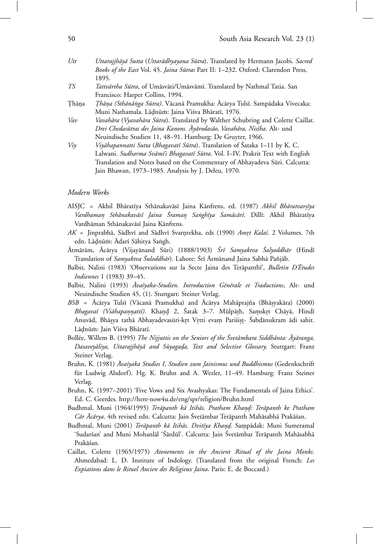- Utt Uttarajjhāyā Sutta (Uttarādhyayana Sūtra). Translated by Hermann Jacobi. Sacred Books of the East Vol. 45. *Jaina Sūtras* Part II: 1–232. Oxford: Clarendon Press, 1895.
- *TS Tattvārtha Sūtra*, of Umāsvāti/Umāsvāmī. Translated by Nathmal Tatia. San Francisco: Harper Collins, 1994.
- Thāna *Thāna (Sthānāṅga Sūtra)*. Vācanā Pramukha: Ācārya Tulsī. Sampādaka Vivecaka: Muni Nathamala. Lāḍnūm: Jaina Viśva Bhāratī, 1976.
- Vav Vavahāra (Vyavahāra Sūtra). Translated by Walther Schubring and Colette Caillat. *Drei Chedas¯utras des Jaina Kanons. Ay¯ ¯ arodas¯ao, Vavah¯ara, Nis¯ıha*. Alt- und Neuindische Studien 11, 48–91. Hamburg: De Gruyter, 1966.
- *Viy Viyāhapannatti Sutta* (*Bhagavatī Sūtra*). Translation of Śataka 1–11 by K. C. Lalwani. *Sudharma Svāmī's Bhagavatī Sūtra*. Vol. I–IV. Prakrit Text with English Translation and Notes based on the Commentary of Abhayadeva Sūri. Calcutta: Jain Bhawan, 1973–1985. Analysis by J. Deleu, 1970.

#### *Modern Works*

- AISJC = Akhil Bhāratīya Sthānakavāsī Jaina Kānfrens, ed. (1987) Akhil Bhāratvarsīya Vardhaman Sthānakavāsī Jaina Śraman Sanghīya Samācārī. Dillī: Akhil Bhāratīya Vardhāman Sthānakavāsī Jaina Kānfrens.
- *AK* = Jinprabhā, Sādhvī and Sādhvī Svarnrekha, eds (1990) *Amrt Kalaś*. 2 Volumes. 7th edn. Lādnūm: Ādarś Sāhitya Sangh.
- Atm¯ ¯ ar¯am, Ac¯ ¯ arya (Vijay¯anand S¯uri) (1888/1903) *Sr¯ ´ ı Samyaktva Salyoddh¯ ´ ar* (Hind¯ı Translation of *Samyaktva Śuloddhār*). Lahore: Śrī Ātmānand Jaina Sabhā Pañjāb.
- Balbir, Nalini (1983) 'Observations sur la Secte Jaina des Terāpanthī', *Bulletin D'Études Indiennes* 1 (1983) 39–45.
- Balbir, Nalini (1993) *Ava'syaka-Studien. Introduction Générale et Traductions*, Alt- und Neuindische Studien 45, (1). Stuttgart: Steiner Verlag.
- *BSB* = Ācārya Tulsī (Vācanā Pramukha) and Ācārya Mahāprajña (Bhāṣyakāra) (2000) *Bhagavaī (Viāhapaṇṇattī).* Khaṇḍ 2, Śatak 3–7. Mūlpāṭh, Saṃskṛt Chāyā, Hindī Anuvād, Bhāsya tathā Abhayadevasūri-krt Vrtti evam Pariśist- Śabdānukram ādi sahit. Lādnūm: Jain Viśva Bhāratī.
- Bollée, Willem B. (1995) *The Nijjuttis on the Seniors of the Svetâmbara Siddhânta: Āyāranga,* Dasaveyāliya, Uttarajjhāyā and Sūyagada, Text and Selective Glossary. Stuttgart: Franz Steiner Verlag.
- Bruhn, K. (1981) *Ava´ ¯ syaka Studies I*, *Studien zum Jainismus und Buddhismus* (Gedenkschrift für Ludwig Alsdorf). Hg. K. Bruhn and A. Wezler, 11-49. Hamburg: Franz Steiner Verlag.
- Bruhn, K. (1997–2001) 'Five Vows and Six Avashyakas: The Fundamentals of Jaina Ethics'. Ed. C. Geerdes. http://here-now4u.de/eng/spr/religion/Bruhn.html
- Budhmal, Muni (1964/1995) *Terāpanth kā Itihās. Pratham Khand: Terāpanth ke Pratham* Cār Acārya. 4th revised edn. Calcutta: Jain Śvetāmbar Terāpanth Mahāsabhā Prakāśan.
- Budhmal, Muni (2001) *Terāpanth kā Itihās. Dvitīya Khand*. Sampādak: Muni Sumeramal 'Sudarśan' and Muni Mohanlāl 'Śārdūl'. Calcutta: Jain Śvetāmbar Terāpanth Mahāsabhā Prakāśan.
- Caillat, Colette (1965/1975) *Atonements in the Ancient Ritual of the Jaina Monks*. Ahmedabad: L. D. Institute of Indology. (Translated from the original French: *Les Expiations dans le Rituel Ancien des Religieux Jaina*. Paris: E. de Boccard.)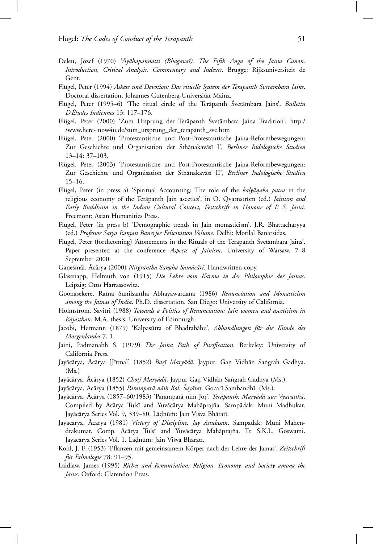- Deleu, Jozef (1970) *Viyāhapannatti (Bhagavaī). The Fifth Anga of the Jaina Canon. Introduction, Critical Analysis, Commentary and Indexes*. Brugge: Rijksuniversiteit de Gent.
- Flügel, Peter (1994) *Askese und Devotion: Das rituelle System der Terapanth Svetambara Jains.* Doctoral dissertation, Johannes Gutenberg-Universität Mainz.
- Flügel, Peter (1995–6) 'The ritual circle of the Terapanth Śvetāmbara Jains', *Bulletin D'Etudes Indiennes ´* 13: 117–176.
- Flügel, Peter (2000) 'Zum Ursprung der Terāpanth Śvetāmbara Jaina Tradition'. http:/ /www.here- now4u.de/zum\_ursprung\_der\_terapanth\_sve.htm
- Flügel, Peter (2000) 'Protestantische und Post-Protestantische Jaina-Reformbewegungen: Zur Geschichte und Organisation der Sthānakavāsī I', *Berliner Indologische Studien* 13–14: 37–103.
- Flügel, Peter (2003) 'Protestantische und Post-Protestantische Jaina-Reformbewegungen: Zur Geschichte und Organisation der Sthānakavāsī II', *Berliner Indologische Studien* 15–16.
- Flügel, Peter (in press a) 'Spiritual Accounting: The role of the *kalyānaka patra* in the religious economy of the Terapanth Jain ascetics', in O. Qvarnström (ed.) *Jainism and Early Buddhism in the Indian Cultural Context, Festschrift in Honour of P. S. Jaini*. Freemont: Asian Humanities Press.
- Flügel, Peter (in press b) 'Demographic trends in Jain monasticism', J.R. Bhattacharyya (ed.) *Professor Satya Ranjan Banerjee Felicitation Volume*. Delhi: Motilal Banarsidas.
- Flügel, Peter (forthcoming) 'Atonements in the Rituals of the Terāpanth Śvetāmbara Jains'. Paper presented at the conference *Aspects of Jainism*, University of Warsaw, 7–8 September 2000.
- Ganeśmāl, Ācārya (2000) *Nirgrantha Saṅgha Samācārī*. Handwritten copy.
- Glasenapp, Helmuth von (1915) *Die Lehre vom Karma in der Philosophie der Jainas*. Leipzig: Otto Harrassowitz.
- Goonasekere, Ratna Sunilsantha Abhayawardana (1986) *Renunciation and Monasticism among the Jainas of India*. Ph.D. dissertation. San Diego: University of California.
- Holmstrom, Savitri (1988) *Towards a Politics of Renunciation: Jain women and asceticism in Rajasthan*. M.A. thesis, University of Edinburgh.
- Jacobi, Hermann (1879) 'Kalpasūtra of Bhadrabāhu', *Abhandlungen für die Kunde des Morgenlandes* 7, 1.
- Jaini, Padmanabh S. (1979) *The Jaina Path of Purification*. Berkeley: University of California Press.
- Jayācārya, Ācārya [Jītmal] (1852) *Barī Maryādā*. Jaypur: Gan Vidhān Saṅgrah Gadhya. (Ms.)
- Jayācārya, Ācārya (1852) *Chotī Maryādā*. Jaypur Gan Vidhān Sangrah Gadhya (Ms.).
- Jayācārya, Ācārya (1855) *Paramparā nām Bol: Śayātar*. Gocarī Sambandhī. (Ms.).
- Jayācārya, Ācārya (1857–60/1983) 'Paramparā nīm Jor'. *Terāpanth: Maryādā aur Vyavasthā*. Compiled by Ācārya Tulsī and Yuvācārya Mahāprajña. Sampādak: Muni Madhukar. Jayācārya Series Vol. 9, 339–80. Lādnūm: Jain Viśva Bhāratī.
- Jayācārya, Ācārya (1981) *Victory of Discipline. Jay Anuśāsan*. Sampādak: Muni Mahendrakumar. Comp. Ācārya Tulsī and Yuvācārya Mahāprajña. Tr. S.K.L. Goswami. Javācārya Series Vol. 1. Lādnūm: Jain Viśva Bhāratī.
- Kohl, J. F. (1953) 'Pflanzen mit gemeinsamem Körper nach der Lehre der Jainas', Zeitschrift *f¨ur Ethnologie* 78: 91–95.
- Laidlaw, James (1995) *Riches and Renunciation: Religion, Economy, and Society among the Jains*. Oxford: Clarendon Press.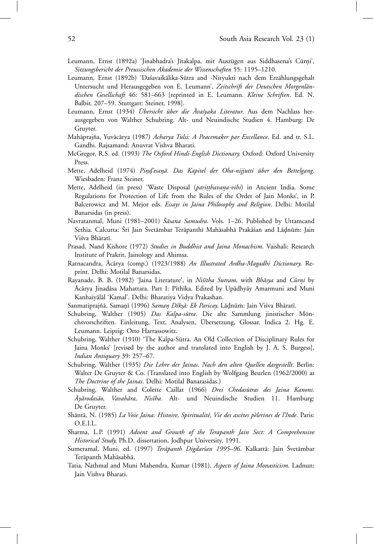- Leumann, Ernst (1892a) 'Jinabhadra's Jītakalpa, mit Auszügen aus Siddhasena's Cūrni', *Sitzungsbericht der Preussischen Akademie der Wissenschaften* 55: 1195–1210.
- Leumann, Ernst (1892b) 'Daśavaikālika-Sūtra and -Niryukti nach dem Erzählungsgehalt Untersucht und Herausgegeben von E. Leumann', Zeitschrift der Deutschen Morgenlän*dischen Gesellschaft* 46: 581–663 [reprinted in E. Leumann. *Kleine Schriften*. Ed. N. Balbir, 207–59. Stuttgart: Steiner, 1998].
- Leumann, Ernst (1934) *Übersicht über die Äva'syaka Literatur*. Aus dem Nachlass herausgegeben von Walther Schubring. Alt- und Neuindische Studien 4. Hamburg: De Gruyter.
- Mahāprajña, Yuvācārya (1987) *Acharya Tulsi: A Peacemaker par Excellance*. Ed. and tr. S.L. Gandhi. Rajsamand: Anuvrat Vishva Bharati.
- McGregor, R.S. ed. (1993) *The Oxford Hindi-English Dictionary*. Oxford: Oxford University Press.
- Mette, Adelheid (1974) *Pin*º*d'esa* º *n¯*º*a. Das Kapitel der Oha-nijjutti ¨uber den Bettelgang*. Wiesbaden: Franz Steiner.
- Mette, Adelheid (in press) 'Waste Disposal (*paritthavana-vihi*) in Ancient India. Some Regulations for Protection of Life from the Rules of the Order of Jain Monks', in P. Balcerowicz and M. Mejor eds. *Essays in Jaina Philosophy and Religion*. Delhi: Motilal Banarsidas (in press).
- Navratanmal, Muni (1981–2001) *Śāsana Samudra*. Vols. 1–26. Published by Uttamcand Sethia. Calcutta: Śrī Jain Śvetāmbar Terāpanthī Mahāsabhā Prakāśan and Lāḍnūm: Jain Viśva Bhāratī.
- Prasad, Nand Kishore (1972) *Studies in Buddhist and Jaina Monachism*. Vaishali: Research Institute of Prakrit, Jainology and Ahimsa.
- Ratnacandra, Ācārya (comp.) (1923/1988) *An Illustrated Ardha-Magadhi Dictionary*. Reprint. Delhi: Motilal Banarsidas.
- Rayanade, B. B. (1982) 'Jaina Literature', in *Nistiha Sutram*, with *Bhāsya* and *Cūrni* by Ācārya Jinadāsa Mahattara. Part I: Pīthīka. Edited by Upādhyāy Amarmuni and Muni Kanhaiyālāl 'Kamal'. Delhi: Bharatiya Vidya Prakashan.
- Sanmatiprajñā, Samaņī (1996) Samaņ Dīksā: Ek Paricay. Lādnūm: Jain Viśva Bhāratī.
- Schubring, Walther (1905) *Das Kalpa-sūtra*. Die alte Sammlung jinistischer Mönchsvorschriften. Einleitung, Text, Analysen, Ubersetzung, Glossar. Indica 2. Hg. E. ¨ Leumann. Leipzig: Otto Harrassowitz.
- Schubring, Walther (1910) 'The Kalpa-Sūtra. An Old Collection of Disciplinary Rules for Jaina Monks' [revised by the author and translated into English by J. A. S. Burgess], *Indian Antiquary* 39: 257–67.
- Schubring, Walther (1935) *Die Lehre der Jainas. Nach den alten Quellen dargestellt*. Berlin: Walter De Gruyter & Co. (Translated into English by Wolfgang Beurlen (1962/2000) as *The Doctrine of the Jainas*. Delhi: Motilal Banarasidas.)
- Schubring, Walther and Colette Caillat (1966) *Drei Chedasūtras des Jaina Kanons. Ay¯ ¯ arodas¯ao, Vavah¯ara, Nis¯ıha*. Alt- und Neuindische Studien 11. Hamburg: De Gruyter.
- Shāntā, N. (1985) *La Voie Jaina: Histoire, Spiritualité, Vie des ascètes pèlerines de l'Inde*. Paris: O.E.I.L.
- Sharma, L.P. (1991) *Advent and Growth of the Terapanth Jain Sect: A Comprehensive Historical Study*, Ph.D. dissertation, Jodhpur University, 1991.
- Sumeramal, Muni, ed. (1997) *Terāpanth Digdarían 1995–96*. Kalkattā: Jain Śvetāmbar Terāpanth Mahāsabhā.
- Tatia, Nathmal and Muni Mahendra, Kumar (1981). *Aspects of Jaina Monasticism*. Ladnun: Jain Vishva Bharati.